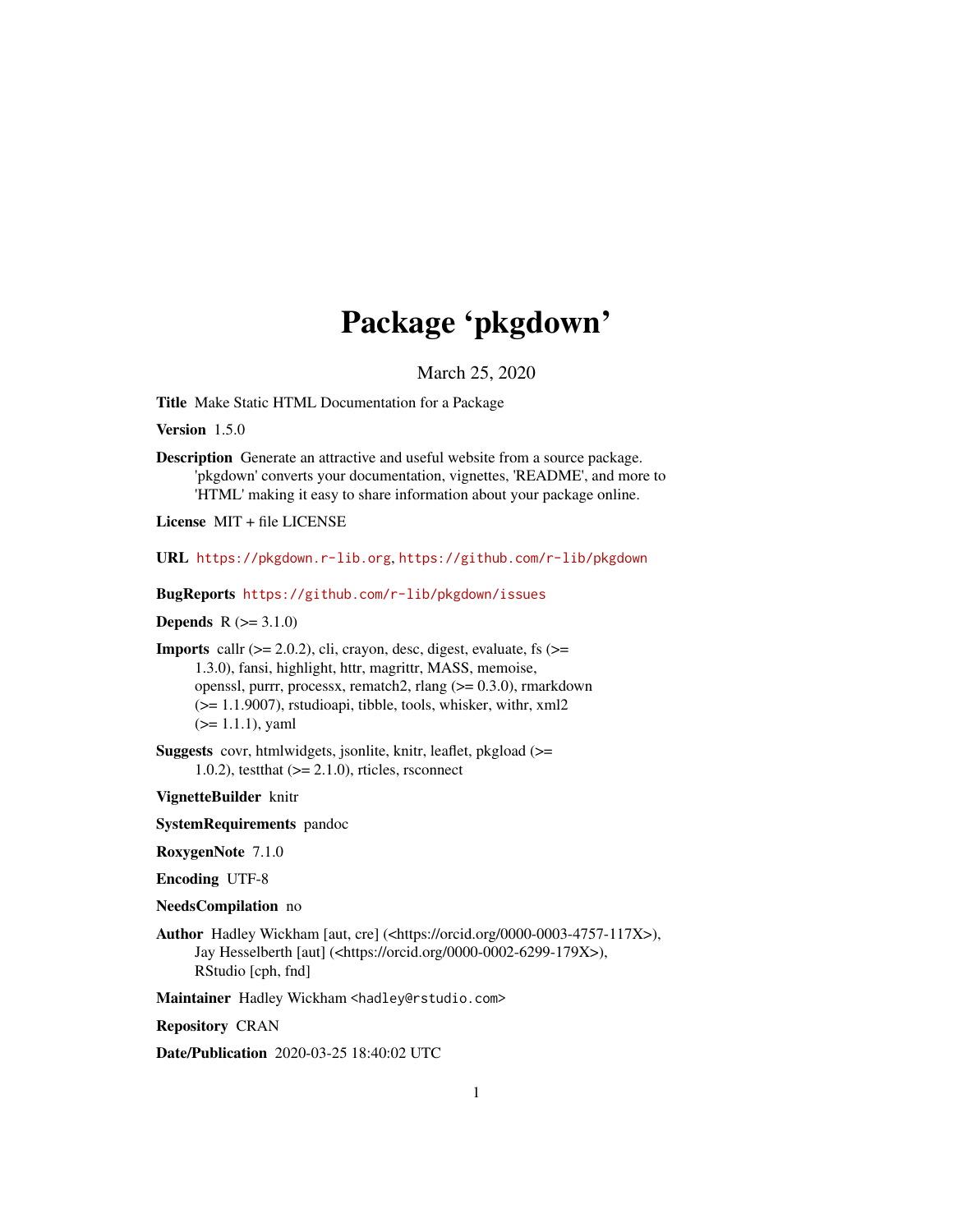# Package 'pkgdown'

March 25, 2020

<span id="page-0-0"></span>Title Make Static HTML Documentation for a Package

Version 1.5.0

Description Generate an attractive and useful website from a source package. 'pkgdown' converts your documentation, vignettes, 'README', and more to 'HTML' making it easy to share information about your package online.

License MIT + file LICENSE

URL <https://pkgdown.r-lib.org>, <https://github.com/r-lib/pkgdown>

BugReports <https://github.com/r-lib/pkgdown/issues>

**Depends**  $R (= 3.1.0)$ 

**Imports** callr  $(>= 2.0.2)$ , cli, crayon, desc, digest, evaluate, fs  $(>=$ 1.3.0), fansi, highlight, httr, magrittr, MASS, memoise, openssl, purrr, processx, rematch2, rlang (>= 0.3.0), rmarkdown (>= 1.1.9007), rstudioapi, tibble, tools, whisker, withr, xml2 (>= 1.1.1), yaml

Suggests covr, htmlwidgets, jsonlite, knitr, leaflet, pkgload (>= 1.0.2), test that  $(>= 2.1.0)$ , rticles, rsconnect

VignetteBuilder knitr

SystemRequirements pandoc

RoxygenNote 7.1.0

Encoding UTF-8

NeedsCompilation no

Author Hadley Wickham [aut, cre] (<https://orcid.org/0000-0003-4757-117X>), Jay Hesselberth [aut] (<https://orcid.org/0000-0002-6299-179X>), RStudio [cph, fnd]

Maintainer Hadley Wickham <hadley@rstudio.com>

Repository CRAN

Date/Publication 2020-03-25 18:40:02 UTC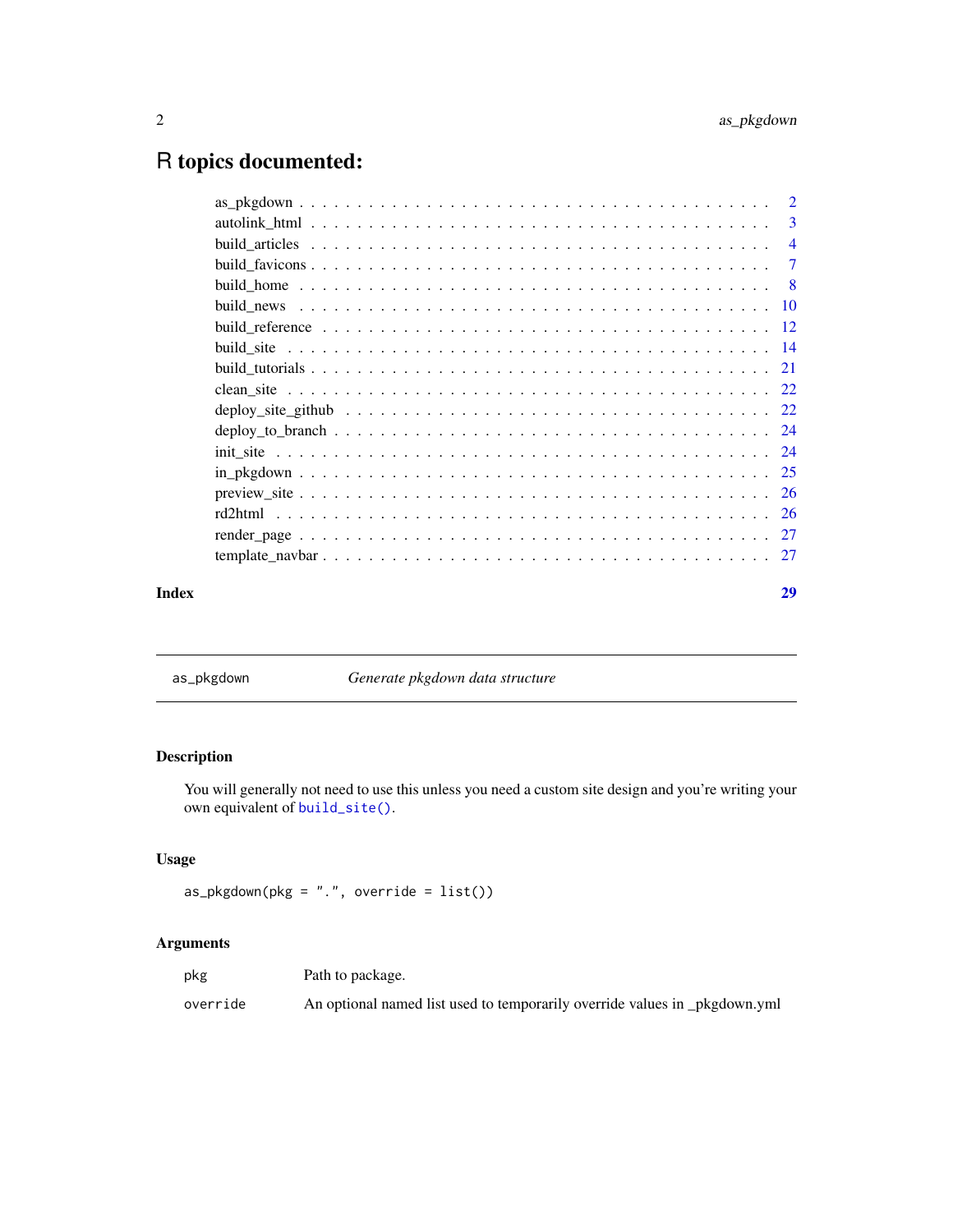# <span id="page-1-0"></span>R topics documented:

| -3                        |
|---------------------------|
| $\overline{4}$            |
| -7                        |
| $\overline{\phantom{0}}8$ |
|                           |
|                           |
|                           |
|                           |
|                           |
|                           |
|                           |
|                           |
|                           |
|                           |
|                           |
|                           |
|                           |
|                           |

# **Index** [29](#page-28-0)

as\_pkgdown *Generate pkgdown data structure*

# Description

You will generally not need to use this unless you need a custom site design and you're writing your own equivalent of [build\\_site\(\)](#page-13-1).

# Usage

```
as_pkgdown(pkg = ".", override = list()
```

| pkg      | Path to package.                                                           |
|----------|----------------------------------------------------------------------------|
| override | An optional named list used to temporarily override values in _pkgdown.yml |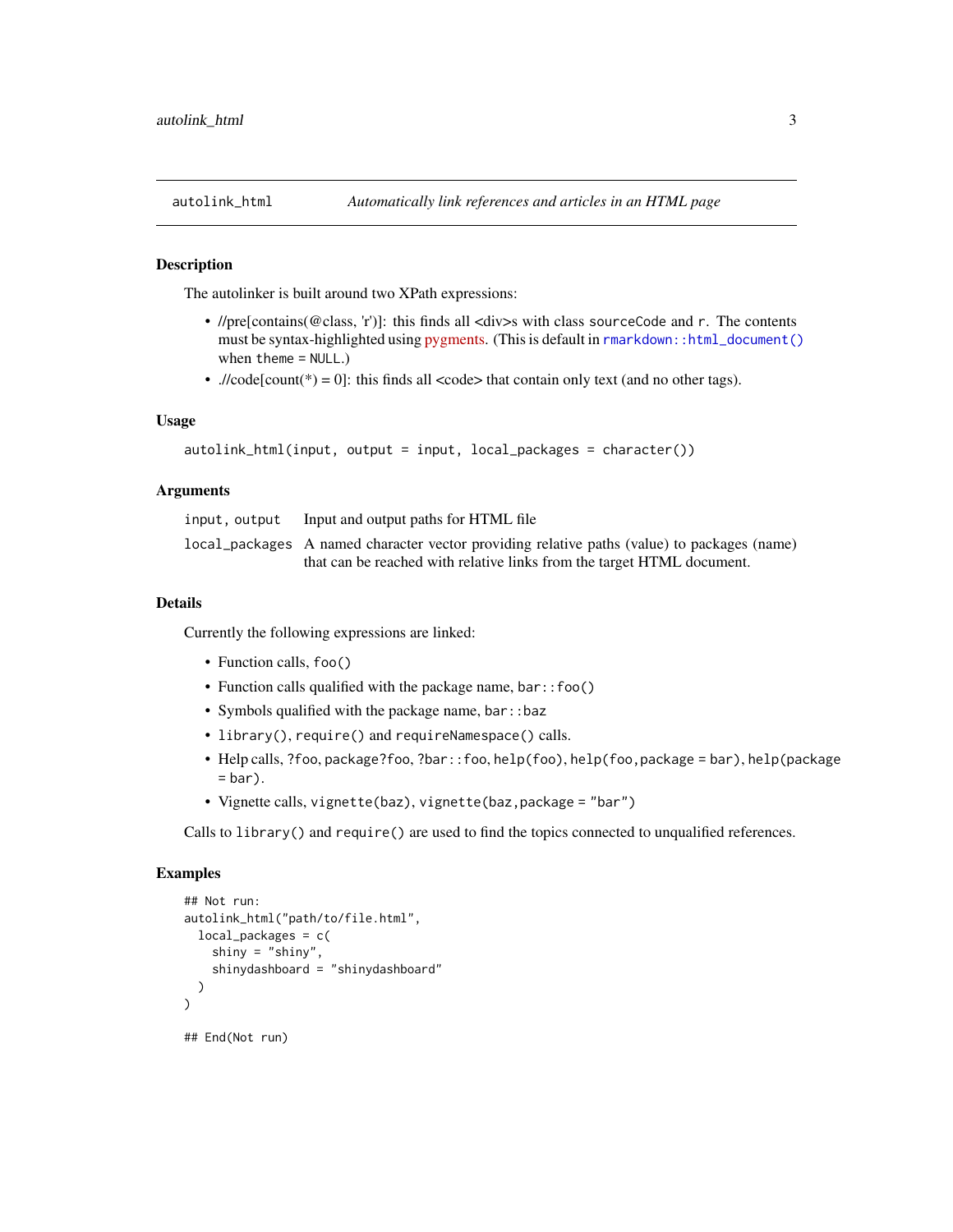<span id="page-2-0"></span>

The autolinker is built around two XPath expressions:

- //pre[contains(@class, 'r')]: this finds all <div>s with class sourceCode and r. The contents must be syntax-highlighted using [pygments.](http://pygments.org/) (This is default in [rmarkdown::html\\_document\(\)](#page-0-0) when theme = NULL.)
- .//code[count(\*) = 0]: this finds all <code> that contain only text (and no other tags).

# Usage

```
autolink_html(input, output = input, local_packages = character())
```
# Arguments

| input, output Input and output paths for HTML file                                          |
|---------------------------------------------------------------------------------------------|
| local_packages A named character vector providing relative paths (value) to packages (name) |
| that can be reached with relative links from the target HTML document.                      |

# Details

Currently the following expressions are linked:

- Function calls, foo()
- Function calls qualified with the package name, bar::foo()
- Symbols qualified with the package name, bar::baz
- library(), require() and requireNamespace() calls.
- Help calls, ?foo, package?foo, ?bar::foo, help(foo), help(foo,package = bar), help(package  $=$  bar $).$
- Vignette calls, vignette(baz), vignette(baz,package = "bar")

Calls to library() and require() are used to find the topics connected to unqualified references.

# Examples

```
## Not run:
autolink_html("path/to/file.html",
 local_packages = c(
   shiny = "shiny",
    shinydashboard = "shinydashboard"
 )
)
## End(Not run)
```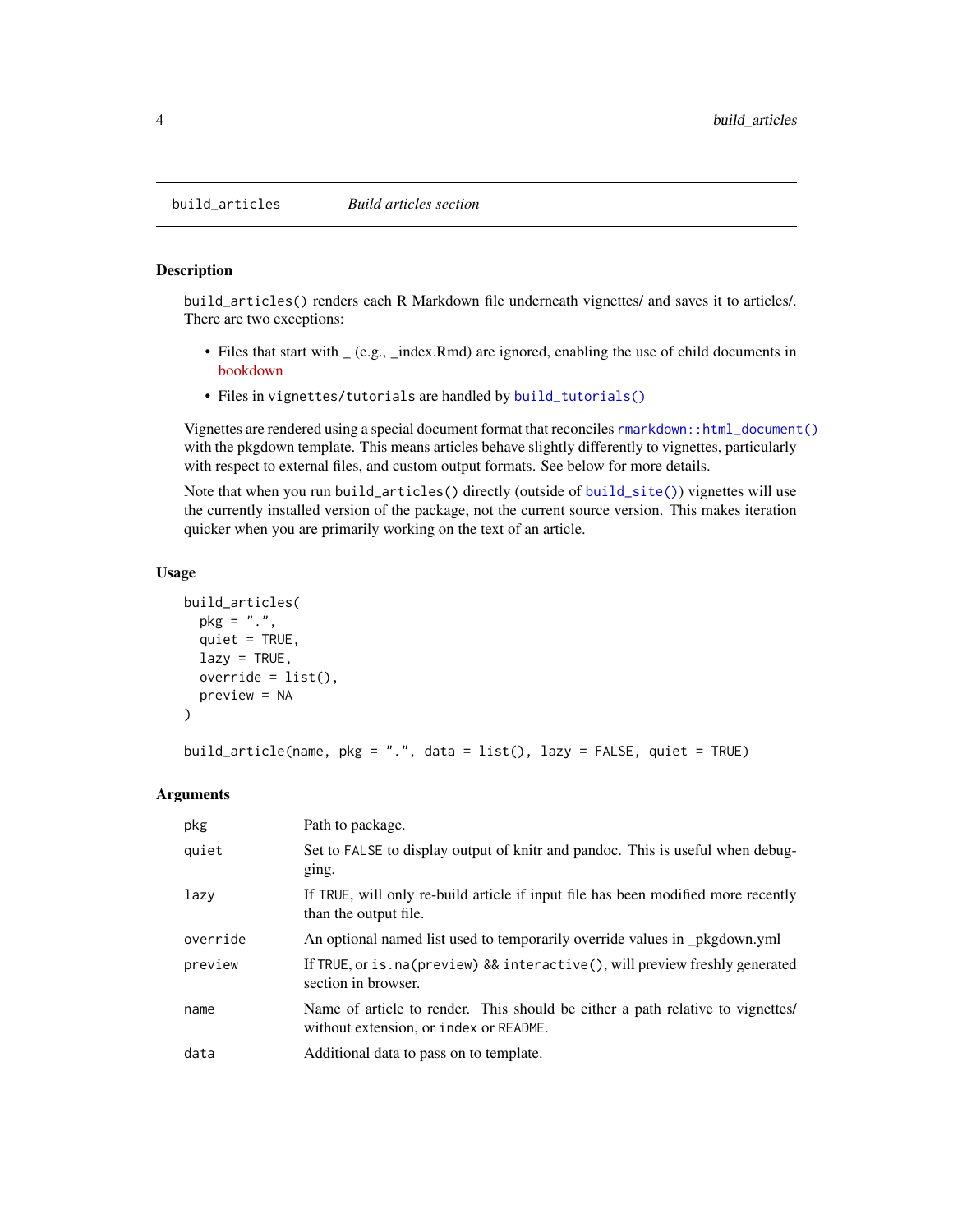```
build_articles Build articles section
```
build\_articles() renders each R Markdown file underneath vignettes/ and saves it to articles/. There are two exceptions:

- Files that start with  $(a.g.,$  index.Rmd) are ignored, enabling the use of child documents in [bookdown](https://bookdown.org/yihui/bookdown/)
- Files in vignettes/tutorials are handled by [build\\_tutorials\(\)](#page-20-1)

Vignettes are rendered using a special document format that reconciles [rmarkdown::html\\_document\(\)](#page-0-0) with the pkgdown template. This means articles behave slightly differently to vignettes, particularly with respect to external files, and custom output formats. See below for more details.

Note that when you run build\_articles() directly (outside of [build\\_site\(\)](#page-13-1)) vignettes will use the currently installed version of the package, not the current source version. This makes iteration quicker when you are primarily working on the text of an article.

# Usage

```
build_articles(
  pkg = ".",
  quiet = TRUE,
  lazy = TRUE,override = list(),
  preview = NA
)
```
build\_article(name, pkg = ".", data = list(), lazy = FALSE, quiet = TRUE)

| pkg      | Path to package.                                                                                                         |
|----------|--------------------------------------------------------------------------------------------------------------------------|
| quiet    | Set to FALSE to display output of knitr and pandoc. This is useful when debug-<br>ging.                                  |
| lazy     | If TRUE, will only re-build article if input file has been modified more recently<br>than the output file.               |
| override | An optional named list used to temporarily override values in _pkgdown.yml                                               |
| preview  | If TRUE, or is. na(preview) && interactive(), will preview freshly generated<br>section in browser.                      |
| name     | Name of article to render. This should be either a path relative to vignettes/<br>without extension, or index or README. |
| data     | Additional data to pass on to template.                                                                                  |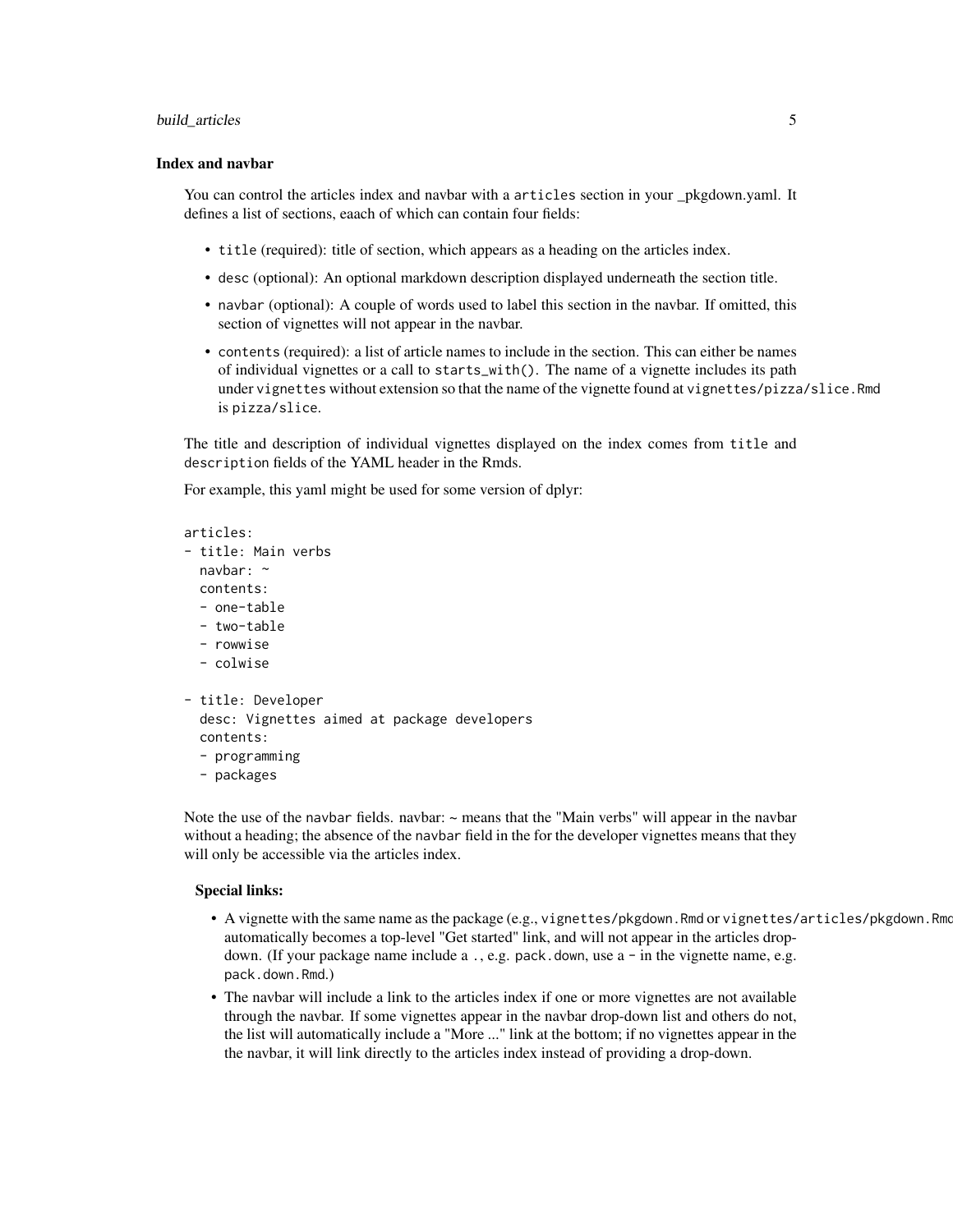#### build\_articles 5

#### Index and navbar

You can control the articles index and navbar with a articles section in your \_pkgdown.yaml. It defines a list of sections, eaach of which can contain four fields:

- title (required): title of section, which appears as a heading on the articles index.
- desc (optional): An optional markdown description displayed underneath the section title.
- navbar (optional): A couple of words used to label this section in the navbar. If omitted, this section of vignettes will not appear in the navbar.
- contents (required): a list of article names to include in the section. This can either be names of individual vignettes or a call to starts\_with(). The name of a vignette includes its path under vignettes without extension so that the name of the vignette found at vignettes/pizza/slice.Rmd is pizza/slice.

The title and description of individual vignettes displayed on the index comes from title and description fields of the YAML header in the Rmds.

For example, this yaml might be used for some version of dplyr:

```
articles:
- title: Main verbs
 navbar: ~
  contents:
  - one-table
  - two-table
  - rowwise
  - colwise
- title: Developer
  desc: Vignettes aimed at package developers
  contents:
  - programming
  - packages
```
Note the use of the navbar fields. navbar:  $\sim$  means that the "Main verbs" will appear in the navbar without a heading; the absence of the navbar field in the for the developer vignettes means that they will only be accessible via the articles index.

# Special links:

- A vignette with the same name as the package (e.g., vignettes/pkgdown.Rmd or vignettes/articles/pkgdown.Rmd) automatically becomes a top-level "Get started" link, and will not appear in the articles dropdown. (If your package name include a ., e.g. pack.down, use a - in the vignette name, e.g. pack.down.Rmd.)
- The navbar will include a link to the articles index if one or more vignettes are not available through the navbar. If some vignettes appear in the navbar drop-down list and others do not, the list will automatically include a "More ..." link at the bottom; if no vignettes appear in the the navbar, it will link directly to the articles index instead of providing a drop-down.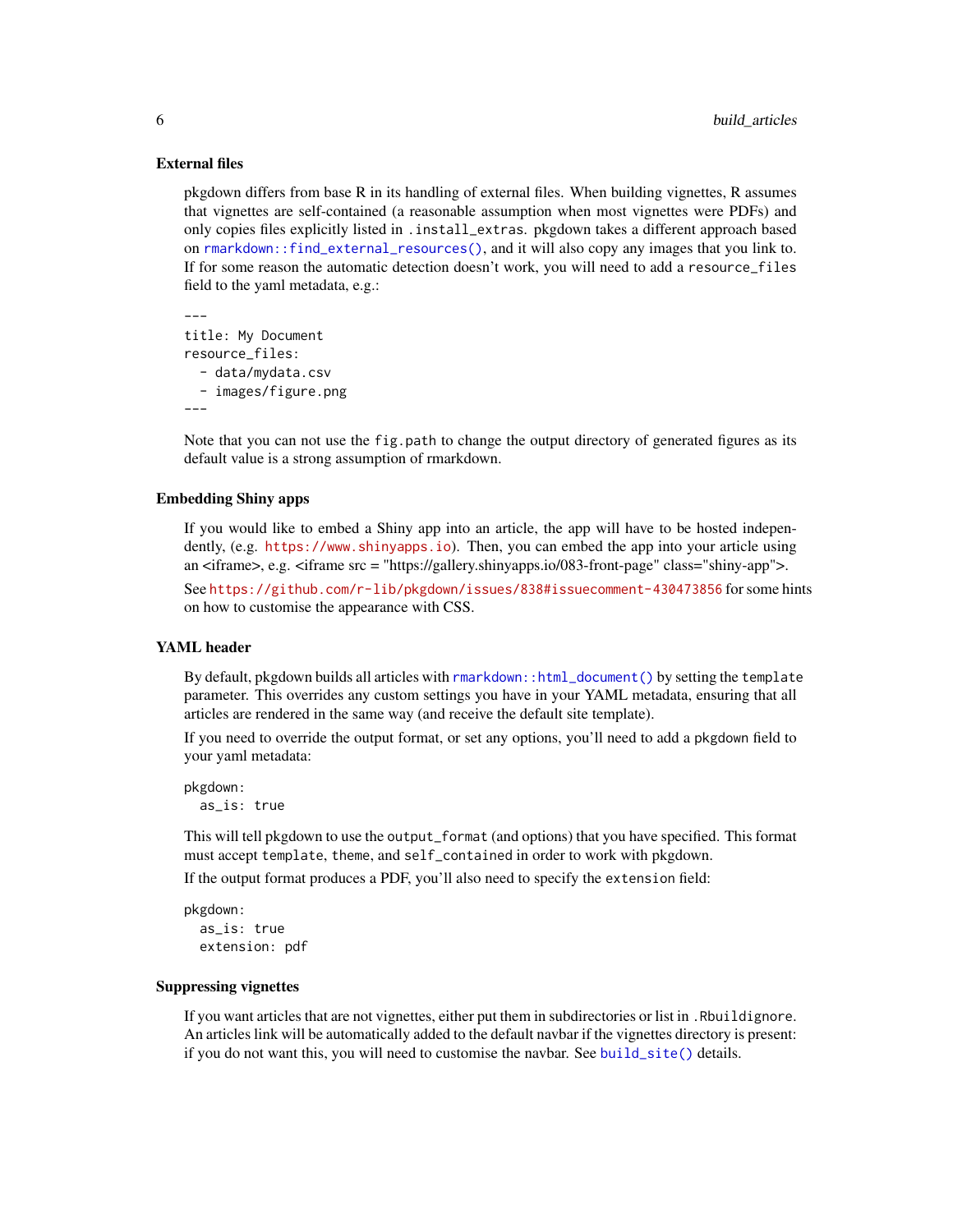#### External files

pkgdown differs from base R in its handling of external files. When building vignettes, R assumes that vignettes are self-contained (a reasonable assumption when most vignettes were PDFs) and only copies files explicitly listed in .install\_extras. pkgdown takes a different approach based on [rmarkdown::find\\_external\\_resources\(\)](#page-0-0), and it will also copy any images that you link to. If for some reason the automatic detection doesn't work, you will need to add a resource\_files field to the yaml metadata, e.g.:

```
---
title: My Document
resource_files:
  - data/mydata.csv
  - images/figure.png
---
```
Note that you can not use the fig.path to change the output directory of generated figures as its default value is a strong assumption of rmarkdown.

# Embedding Shiny apps

If you would like to embed a Shiny app into an article, the app will have to be hosted independently, (e.g. <https://www.shinyapps.io>). Then, you can embed the app into your article using an <iframe>, e.g. <iframe src = "https://gallery.shinyapps.io/083-front-page" class="shiny-app">. See <https://github.com/r-lib/pkgdown/issues/838#issuecomment-430473856> for some hints on how to customise the appearance with CSS.

# YAML header

By default, pkgdown builds all articles with [rmarkdown::html\\_document\(\)](#page-0-0) by setting the template parameter. This overrides any custom settings you have in your YAML metadata, ensuring that all articles are rendered in the same way (and receive the default site template).

If you need to override the output format, or set any options, you'll need to add a pkgdown field to your yaml metadata:

```
pkgdown:
 as_is: true
```
This will tell pkgdown to use the output\_format (and options) that you have specified. This format must accept template, theme, and self\_contained in order to work with pkgdown.

If the output format produces a PDF, you'll also need to specify the extension field:

```
pkgdown:
  as_is: true
  extension: pdf
```
#### Suppressing vignettes

If you want articles that are not vignettes, either put them in subdirectories or list in .Rbuildignore. An articles link will be automatically added to the default navbar if the vignettes directory is present: if you do not want this, you will need to customise the navbar. See [build\\_site\(\)](#page-13-1) details.

<span id="page-5-0"></span>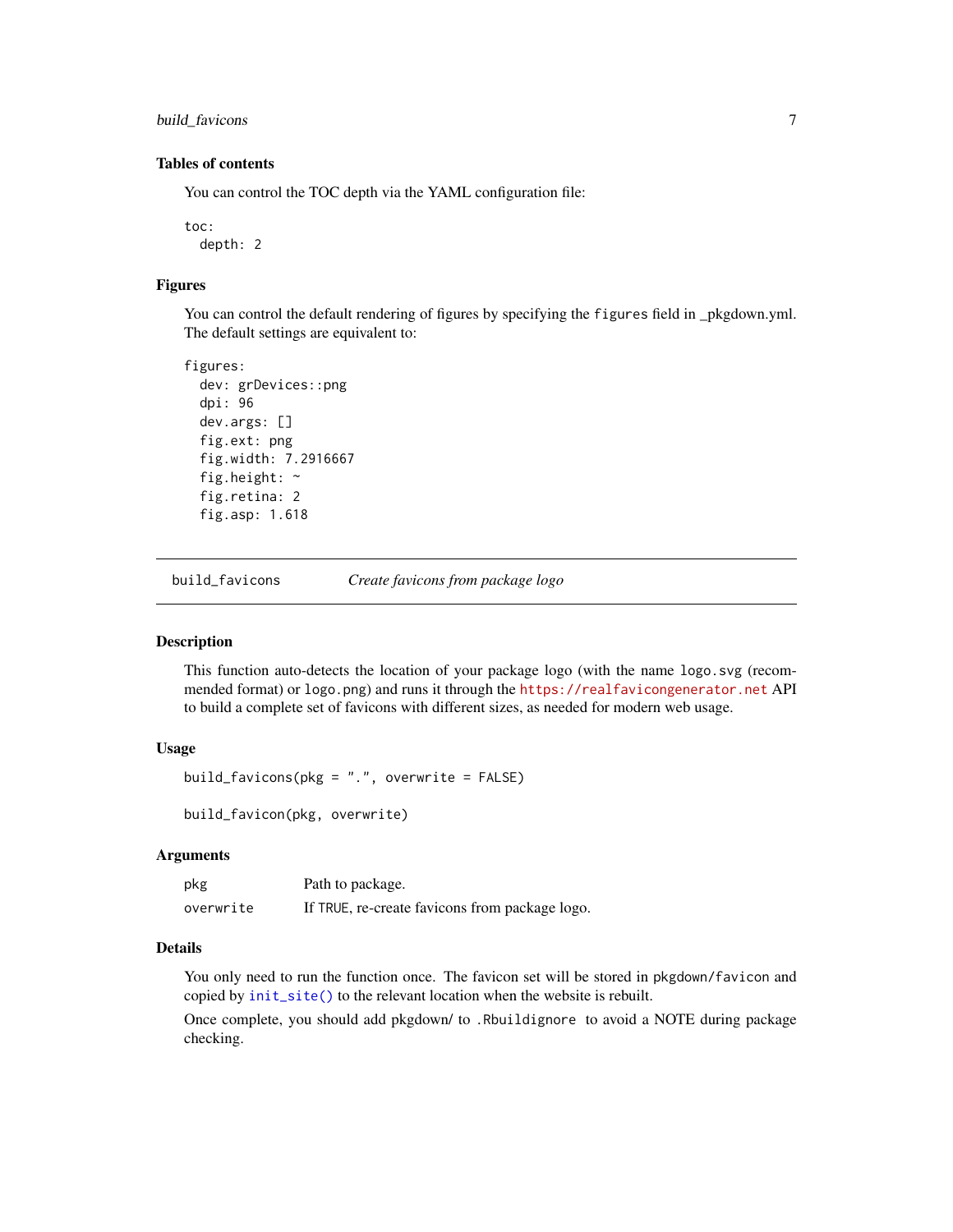<span id="page-6-0"></span>build\_favicons 7

# Tables of contents

You can control the TOC depth via the YAML configuration file:

toc: depth: 2

#### Figures

You can control the default rendering of figures by specifying the figures field in \_pkgdown.yml. The default settings are equivalent to:

```
figures:
  dev: grDevices::png
  dpi: 96
  dev.args: []
  fig.ext: png
  fig.width: 7.2916667
  fig.height: ~
  fig.retina: 2
  fig.asp: 1.618
```
build\_favicons *Create favicons from package logo*

# Description

This function auto-detects the location of your package logo (with the name logo.svg (recommended format) or logo.png) and runs it through the <https://realfavicongenerator.net> API to build a complete set of favicons with different sizes, as needed for modern web usage.

# Usage

```
build_favicons(pkg = ".", overwrite = FALSE)
```
build\_favicon(pkg, overwrite)

# Arguments

| pkg       | Path to package.                               |
|-----------|------------------------------------------------|
| overwrite | If TRUE, re-create favicons from package logo. |

# Details

You only need to run the function once. The favicon set will be stored in pkgdown/favicon and copied by [init\\_site\(\)](#page-23-1) to the relevant location when the website is rebuilt.

Once complete, you should add pkgdown/ to .Rbuildignore to avoid a NOTE during package checking.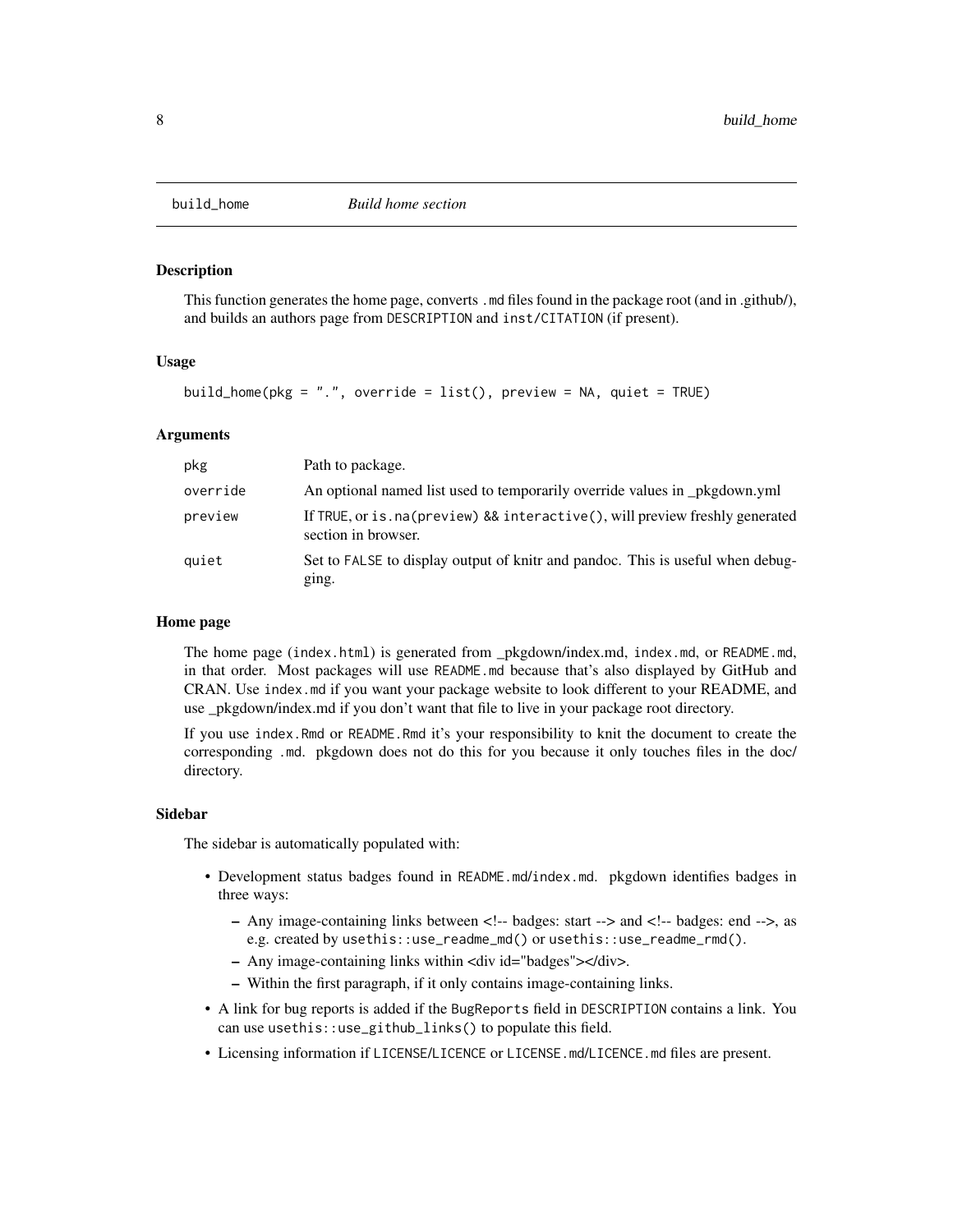<span id="page-7-1"></span><span id="page-7-0"></span>

This function generates the home page, converts .md files found in the package root (and in .github/), and builds an authors page from DESCRIPTION and inst/CITATION (if present).

# Usage

```
build_home(pkg = ".", override = list(), preview = NA, quiet = TRUE)
```
# Arguments

| pkg      | Path to package.                                                                                       |
|----------|--------------------------------------------------------------------------------------------------------|
| override | An optional named list used to temporarily override values in _pkgdown.yml                             |
| preview  | If TRUE, or is . na (preview) && interactive (), will preview freshly generated<br>section in browser. |
| quiet    | Set to FALSE to display output of knitr and pandoc. This is useful when debug-<br>ging.                |

# Home page

The home page (index.html) is generated from \_pkgdown/index.md, index.md, or README.md, in that order. Most packages will use README.md because that's also displayed by GitHub and CRAN. Use index.md if you want your package website to look different to your README, and use \_pkgdown/index.md if you don't want that file to live in your package root directory.

If you use index.Rmd or README.Rmd it's your responsibility to knit the document to create the corresponding .md. pkgdown does not do this for you because it only touches files in the doc/ directory.

#### Sidebar

The sidebar is automatically populated with:

- Development status badges found in README.md/index.md. pkgdown identifies badges in three ways:
	- Any image-containing links between <!-- badges: start --> and <!-- badges: end -->, as e.g. created by usethis::use\_readme\_md() or usethis::use\_readme\_rmd().
	- Any image-containing links within <div id="badges"></div>.
	- Within the first paragraph, if it only contains image-containing links.
- A link for bug reports is added if the BugReports field in DESCRIPTION contains a link. You can use usethis::use\_github\_links() to populate this field.
- Licensing information if LICENSE/LICENCE or LICENSE.md/LICENCE.md files are present.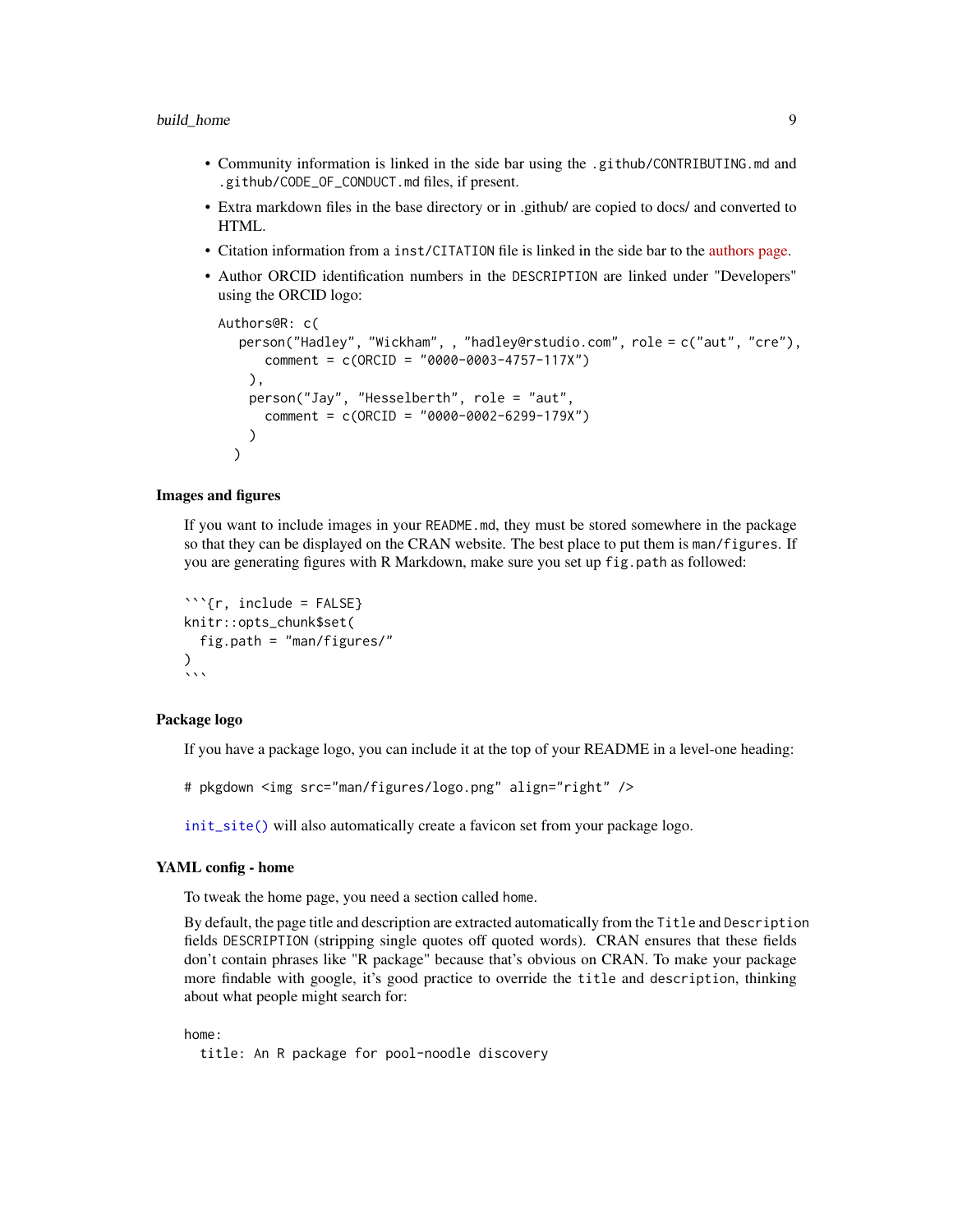#### <span id="page-8-0"></span>build\_home 99 and 200 and 200 and 200 and 200 and 200 and 200 and 200 and 200 and 200 and 200 and 200 and 200

- Community information is linked in the side bar using the .github/CONTRIBUTING.md and .github/CODE\_OF\_CONDUCT.md files, if present.
- Extra markdown files in the base directory or in .github/ are copied to docs/ and converted to HTML.
- Citation information from a inst/CITATION file is linked in the side bar to the [authors page.](https://testthat.r-lib.org/authors.html)
- Author ORCID identification numbers in the DESCRIPTION are linked under "Developers" using the ORCID logo:

```
Authors@R: c(
  person("Hadley", "Wickham", , "hadley@rstudio.com", role = c("aut", "cre"),
      comment = c(ORCID = "0000-0003-4757-117X")
    ),
    person("Jay", "Hesselberth", role = "aut",
      comment = c(ORCID = "0000-0002-6299-179X")
    )
  )
```
# Images and figures

If you want to include images in your README.md, they must be stored somewhere in the package so that they can be displayed on the CRAN website. The best place to put them is man/figures. If you are generating figures with R Markdown, make sure you set up fig.path as followed:

```
```{r, include = FALSE}
knitr::opts_chunk$set(
  fig.path = "man/figures/"
\mathcal{L}\ddot{\ }
```
# Package logo

If you have a package logo, you can include it at the top of your README in a level-one heading:

# pkgdown <img src="man/figures/logo.png" align="right" />

[init\\_site\(\)](#page-23-1) will also automatically create a favicon set from your package logo.

# YAML config - home

To tweak the home page, you need a section called home.

By default, the page title and description are extracted automatically from the Title and Description fields DESCRIPTION (stripping single quotes off quoted words). CRAN ensures that these fields don't contain phrases like "R package" because that's obvious on CRAN. To make your package more findable with google, it's good practice to override the title and description, thinking about what people might search for:

#### home:

title: An R package for pool-noodle discovery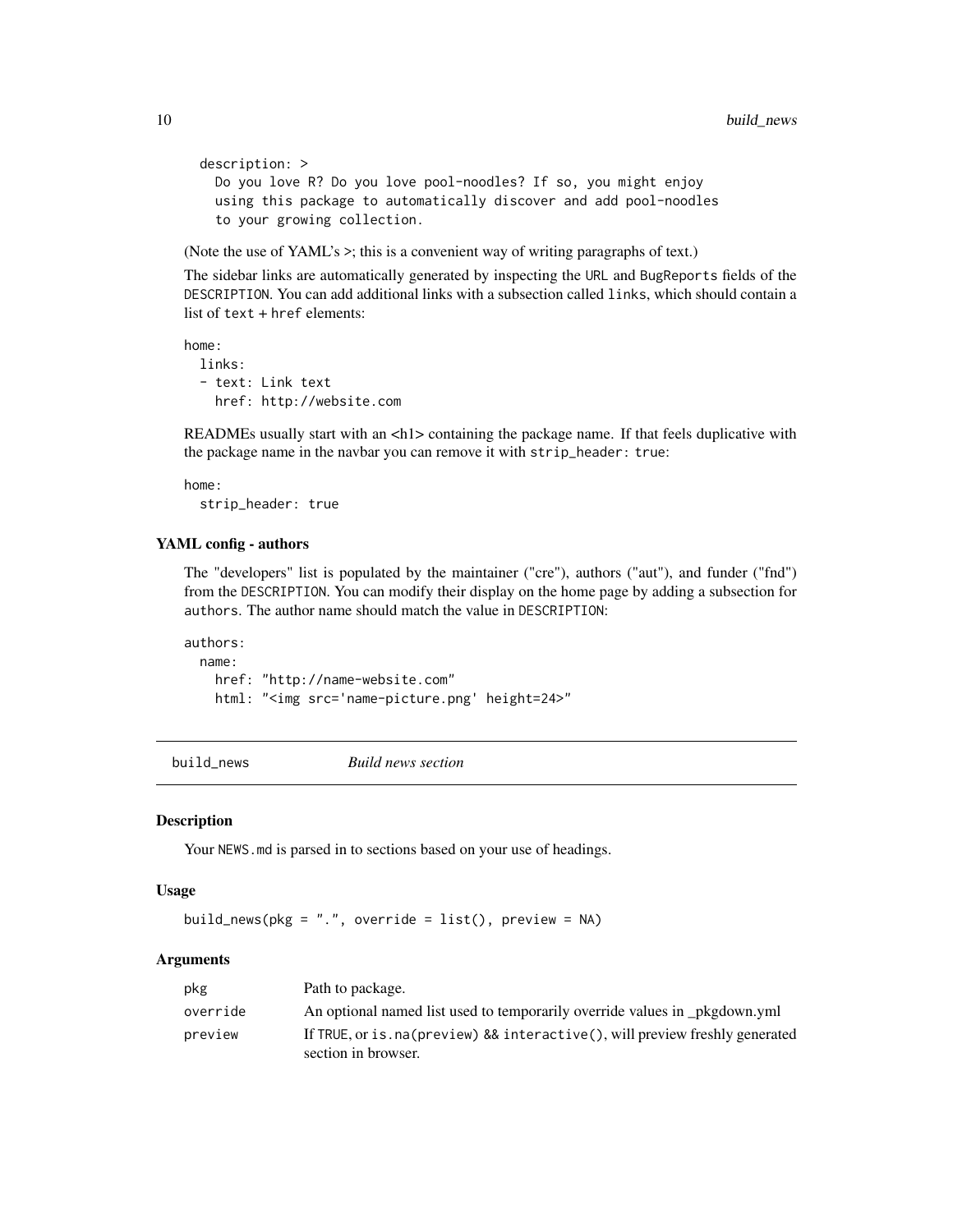```
description: >
 Do you love R? Do you love pool-noodles? If so, you might enjoy
 using this package to automatically discover and add pool-noodles
 to your growing collection.
```
(Note the use of YAML's >; this is a convenient way of writing paragraphs of text.)

The sidebar links are automatically generated by inspecting the URL and BugReports fields of the DESCRIPTION. You can add additional links with a subsection called links, which should contain a list of text + href elements:

```
home:
 links:
  - text: Link text
    href: http://website.com
```
READMEs usually start with an  $\langle h \rangle$  containing the package name. If that feels duplicative with the package name in the navbar you can remove it with strip\_header: true:

home: strip\_header: true

# YAML config - authors

The "developers" list is populated by the maintainer ("cre"), authors ("aut"), and funder ("fnd") from the DESCRIPTION. You can modify their display on the home page by adding a subsection for authors. The author name should match the value in DESCRIPTION:

authors: name: href: "http://name-website.com" html: "<img src='name-picture.png' height=24>"

<span id="page-9-1"></span>build\_news *Build news section*

#### Description

Your NEWS.md is parsed in to sections based on your use of headings.

# Usage

```
build_news(pkg = ".", override = list(), preview = NA)
```

| pkg      | Path to package.                                                                                       |
|----------|--------------------------------------------------------------------------------------------------------|
| override | An optional named list used to temporarily override values in pkgdown.yml                              |
| preview  | If TRUE, or is . na (preview) && interactive (), will preview freshly generated<br>section in browser. |

<span id="page-9-0"></span>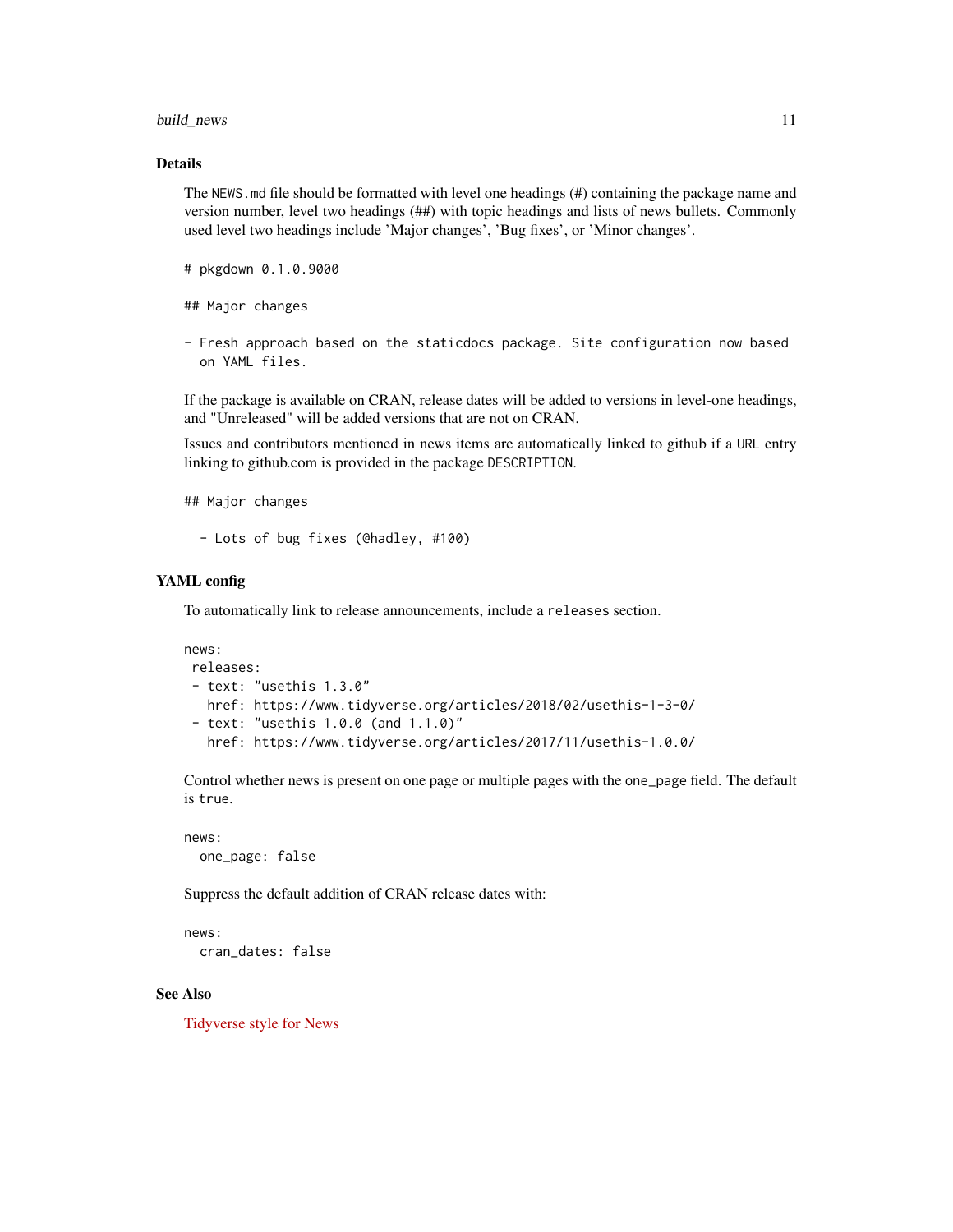#### build\_news 11

# Details

The NEWS.md file should be formatted with level one headings (#) containing the package name and version number, level two headings (##) with topic headings and lists of news bullets. Commonly used level two headings include 'Major changes', 'Bug fixes', or 'Minor changes'.

# pkgdown 0.1.0.9000

## Major changes

- Fresh approach based on the staticdocs package. Site configuration now based on YAML files.

If the package is available on CRAN, release dates will be added to versions in level-one headings, and "Unreleased" will be added versions that are not on CRAN.

Issues and contributors mentioned in news items are automatically linked to github if a URL entry linking to github.com is provided in the package DESCRIPTION.

## Major changes

- Lots of bug fixes (@hadley, #100)

# YAML config

To automatically link to release announcements, include a releases section.

```
news:
releases:
- text: "usethis 1.3.0"
  href: https://www.tidyverse.org/articles/2018/02/usethis-1-3-0/
- text: "usethis 1.0.0 (and 1.1.0)"
  href: https://www.tidyverse.org/articles/2017/11/usethis-1.0.0/
```
Control whether news is present on one page or multiple pages with the one\_page field. The default is true.

```
news:
 one_page: false
```
Suppress the default addition of CRAN release dates with:

#### news:

cran\_dates: false

#### See Also

[Tidyverse style for News](http://style.tidyverse.org/news.html)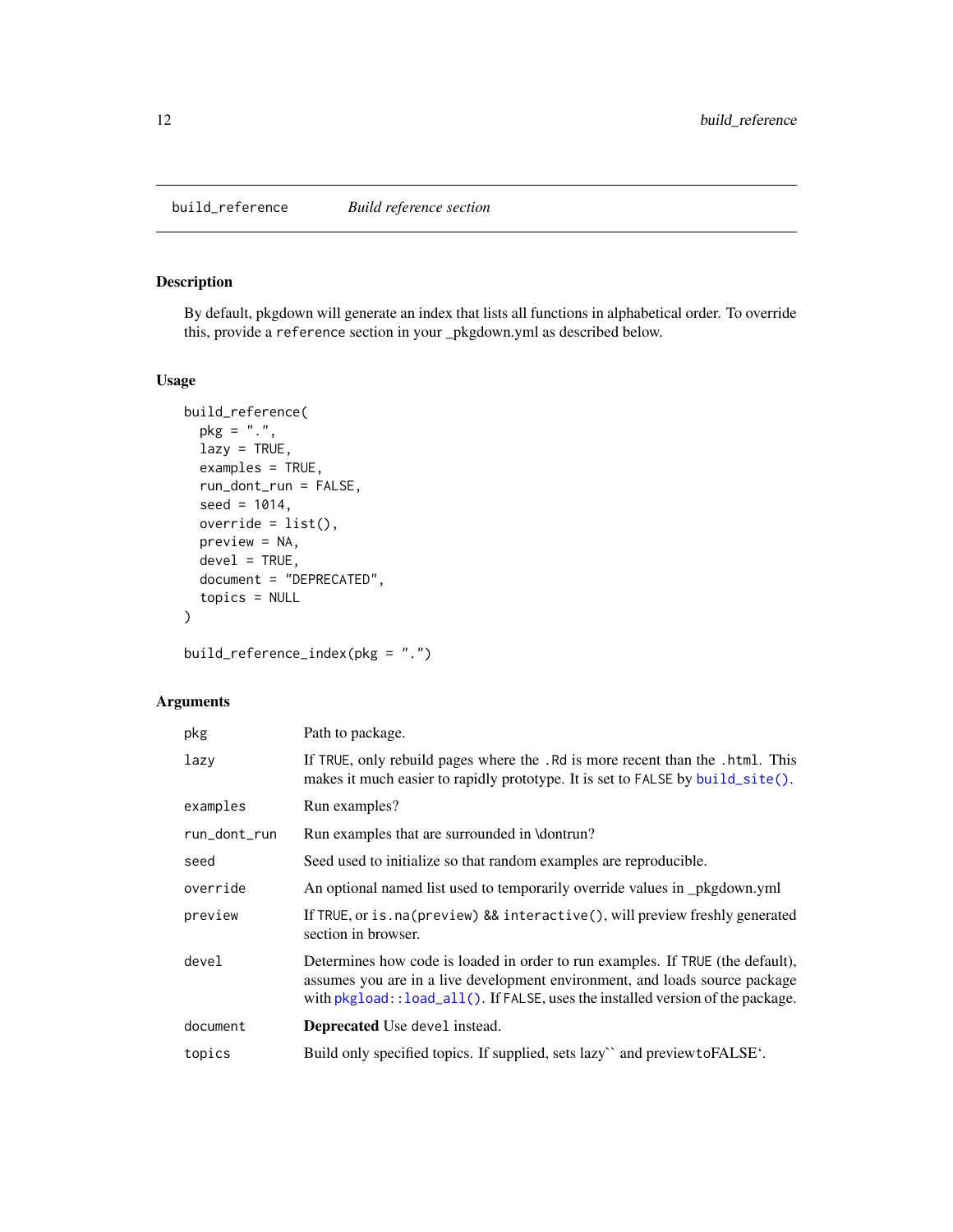<span id="page-11-1"></span><span id="page-11-0"></span>By default, pkgdown will generate an index that lists all functions in alphabetical order. To override this, provide a reference section in your \_pkgdown.yml as described below.

# Usage

```
build_reference(
 pkg = "."lazy = TRUE,examples = TRUE,
  run_dont_run = FALSE,
  seed = 1014,override = list(),
  preview = NA,
  devel = TRUE,document = "DEPRECATED",
  topics = NULL
)
```
build\_reference\_index(pkg = ".")

| pkg          | Path to package.                                                                                                                                                                                                                                     |
|--------------|------------------------------------------------------------------------------------------------------------------------------------------------------------------------------------------------------------------------------------------------------|
| lazy         | If TRUE, only rebuild pages where the . Rd is more recent than the . html. This<br>makes it much easier to rapidly prototype. It is set to FALSE by build_site().                                                                                    |
| examples     | Run examples?                                                                                                                                                                                                                                        |
| run_dont_run | Run examples that are surrounded in \dontrun?                                                                                                                                                                                                        |
| seed         | Seed used to initialize so that random examples are reproducible.                                                                                                                                                                                    |
| override     | An optional named list used to temporarily override values in _pkgdown.yml                                                                                                                                                                           |
| preview      | If TRUE, or is. na(preview) && interactive(), will preview freshly generated<br>section in browser.                                                                                                                                                  |
| devel        | Determines how code is loaded in order to run examples. If TRUE (the default),<br>assumes you are in a live development environment, and loads source package<br>with $pkgload$ : : load_all(). If FALSE, uses the installed version of the package. |
| document     | <b>Deprecated</b> Use devel instead.                                                                                                                                                                                                                 |
| topics       | Build only specified topics. If supplied, sets lazy `and preview to FALSE'.                                                                                                                                                                          |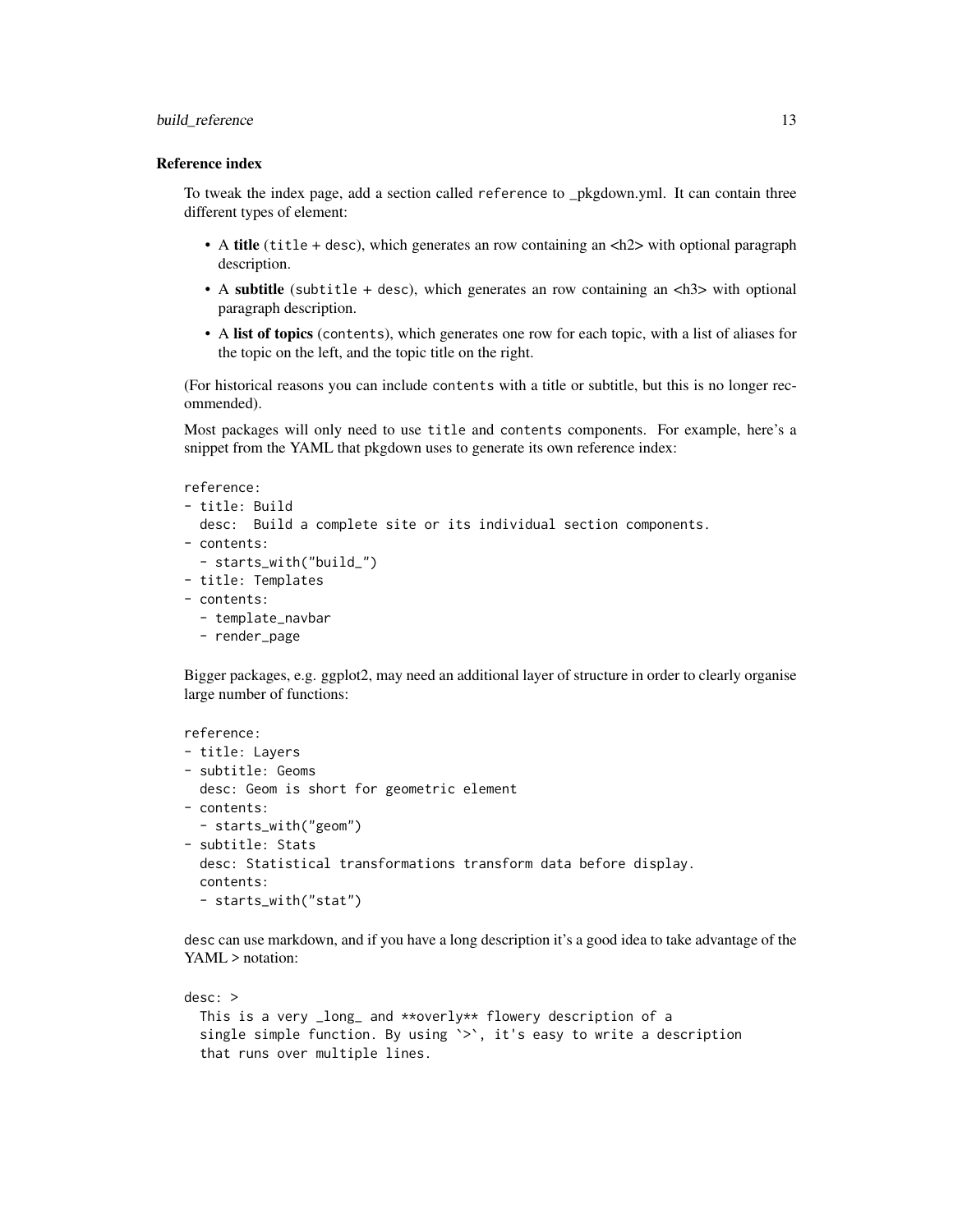# build\_reference 13

#### Reference index

To tweak the index page, add a section called reference to \_pkgdown.yml. It can contain three different types of element:

- A title (title + desc), which generates an row containing an  $\langle h2 \rangle$  with optional paragraph description.
- A subtitle (subtitle + desc), which generates an row containing an  $\langle h \rangle$  with optional paragraph description.
- A list of topics (contents), which generates one row for each topic, with a list of aliases for the topic on the left, and the topic title on the right.

(For historical reasons you can include contents with a title or subtitle, but this is no longer recommended).

Most packages will only need to use title and contents components. For example, here's a snippet from the YAML that pkgdown uses to generate its own reference index:

```
reference:
```

```
- title: Build
 desc: Build a complete site or its individual section components.
- contents:
  - starts_with("build_")
- title: Templates
- contents:
```
- template\_navbar
- render\_page

Bigger packages, e.g. ggplot2, may need an additional layer of structure in order to clearly organise large number of functions:

```
reference:
- title: Layers
- subtitle: Geoms
 desc: Geom is short for geometric element
- contents:
  - starts_with("geom")
- subtitle: Stats
  desc: Statistical transformations transform data before display.
  contents:
  - starts_with("stat")
```
desc can use markdown, and if you have a long description it's a good idea to take advantage of the YAML > notation:

```
desc: >
 This is a very _long_ and **overly** flowery description of a
 single simple function. By using '>', it's easy to write a description
 that runs over multiple lines.
```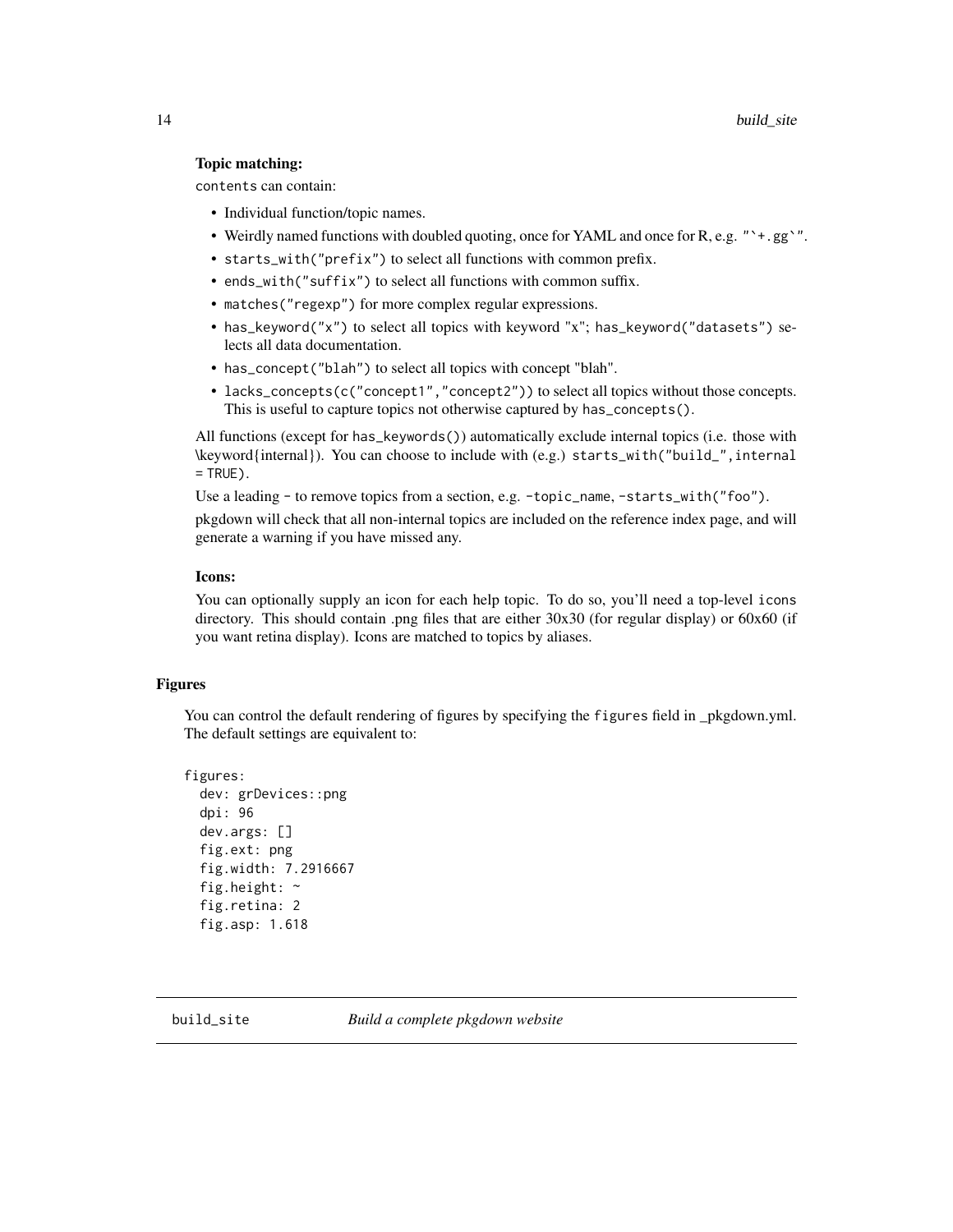# <span id="page-13-0"></span>Topic matching:

contents can contain:

- Individual function/topic names.
- Weirdly named functions with doubled quoting, once for YAML and once for R, e.g. "`+.gg`".
- starts\_with("prefix") to select all functions with common prefix.
- ends\_with("suffix") to select all functions with common suffix.
- matches("regexp") for more complex regular expressions.
- has\_keyword("x") to select all topics with keyword "x"; has\_keyword("datasets") selects all data documentation.
- has\_concept("blah") to select all topics with concept "blah".
- lacks\_concepts(c("concept1","concept2")) to select all topics without those concepts. This is useful to capture topics not otherwise captured by has\_concepts().

All functions (except for has\_keywords()) automatically exclude internal topics (i.e. those with \keyword{internal}). You can choose to include with (e.g.) starts\_with("build\_",internal  $=$  TRUE).

Use a leading - to remove topics from a section, e.g. -topic\_name, -starts\_with("foo").

pkgdown will check that all non-internal topics are included on the reference index page, and will generate a warning if you have missed any.

# Icons:

You can optionally supply an icon for each help topic. To do so, you'll need a top-level icons directory. This should contain .png files that are either 30x30 (for regular display) or 60x60 (if you want retina display). Icons are matched to topics by aliases.

#### Figures

You can control the default rendering of figures by specifying the figures field in pkgdown.yml. The default settings are equivalent to:

```
figures:
  dev: grDevices::png
  dpi: 96
 dev.args: []
  fig.ext: png
  fig.width: 7.2916667
  fig.height: ~
  fig.retina: 2
  fig.asp: 1.618
```
<span id="page-13-1"></span>build\_site *Build a complete pkgdown website*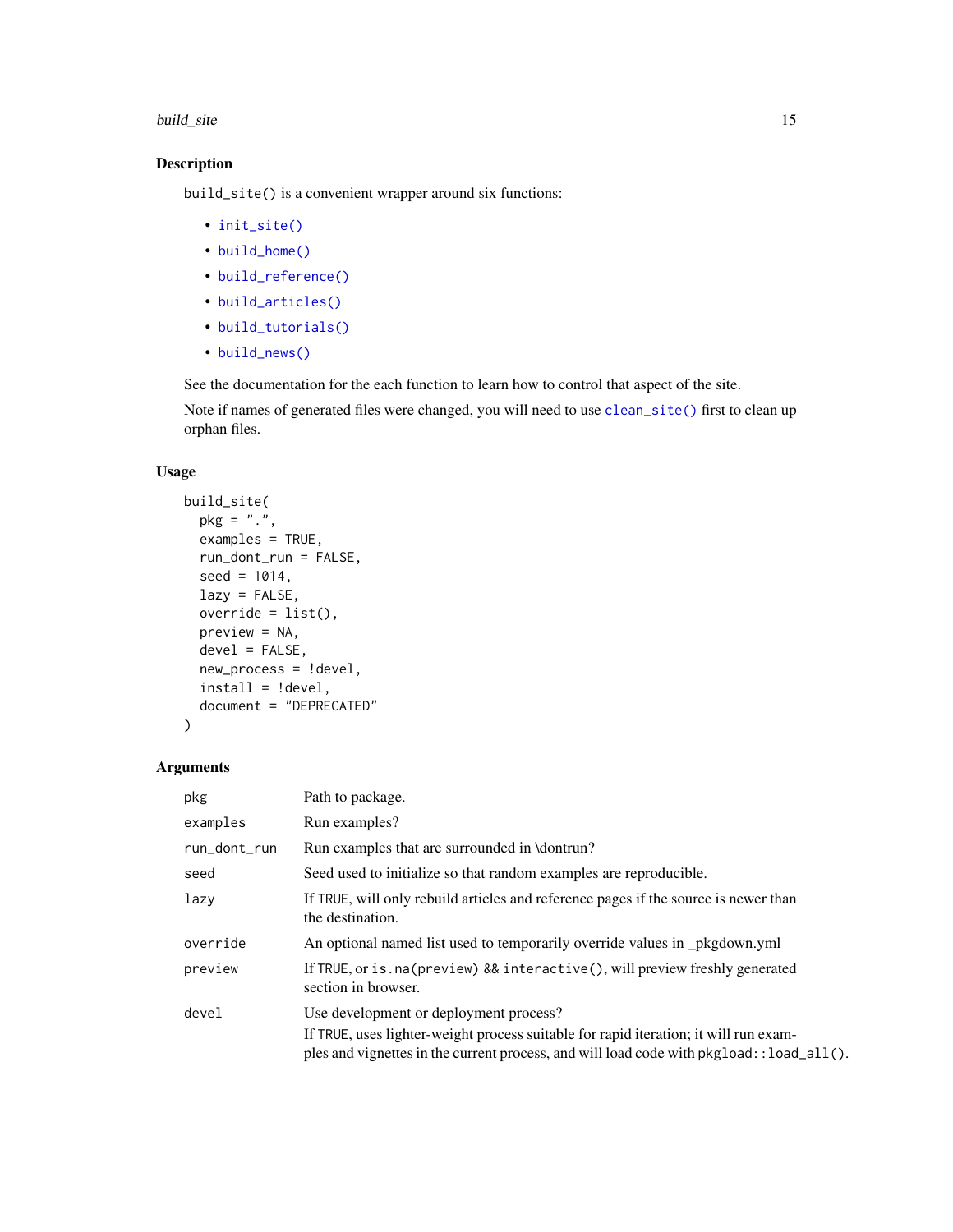#### <span id="page-14-0"></span>build\_site 15

# Description

build\_site() is a convenient wrapper around six functions:

- [init\\_site\(\)](#page-23-1)
- [build\\_home\(\)](#page-7-1)
- [build\\_reference\(\)](#page-11-1)
- [build\\_articles\(\)](#page-3-1)
- [build\\_tutorials\(\)](#page-20-1)
- [build\\_news\(\)](#page-9-1)

See the documentation for the each function to learn how to control that aspect of the site.

Note if names of generated files were changed, you will need to use [clean\\_site\(\)](#page-21-1) first to clean up orphan files.

# Usage

```
build_site(
 pkg = "."examples = TRUE,
 run_dont_run = FALSE,
 seed = 1014,lazy = FALSE,override = list(),
 preview = NA,
 devel = FALSE,new_process = !devel,
 install = !devel,
 document = "DEPRECATED"
)
```

| pkg          | Path to package.                                                                                                                                                                                                              |
|--------------|-------------------------------------------------------------------------------------------------------------------------------------------------------------------------------------------------------------------------------|
| examples     | Run examples?                                                                                                                                                                                                                 |
| run_dont_run | Run examples that are surrounded in \dontrun?                                                                                                                                                                                 |
| seed         | Seed used to initialize so that random examples are reproducible.                                                                                                                                                             |
| lazy         | If TRUE, will only rebuild articles and reference pages if the source is newer than<br>the destination.                                                                                                                       |
| override     | An optional named list used to temporarily override values in _pkgdown.yml                                                                                                                                                    |
| preview      | If TRUE, or is . na (preview) && interactive(), will preview freshly generated<br>section in browser.                                                                                                                         |
| devel        | Use development or deployment process?<br>If TRUE, uses lighter-weight process suitable for rapid iteration; it will run exam-<br>ples and vignettes in the current process, and will load code with $pkgload::load\_all()$ . |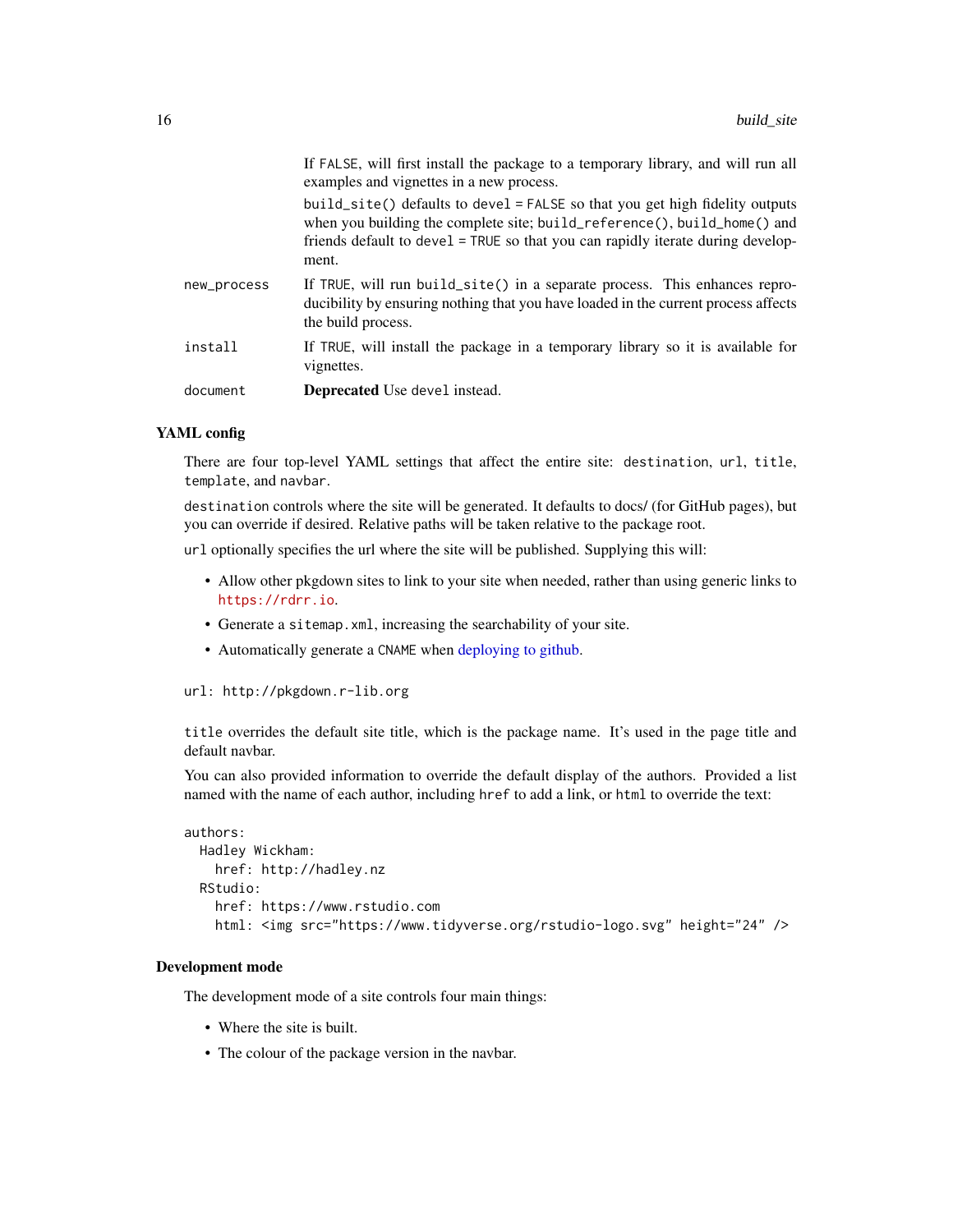<span id="page-15-0"></span>

| document    | <b>Deprecated</b> Use devel instead.                                                                                                                                                                                                                                                               |
|-------------|----------------------------------------------------------------------------------------------------------------------------------------------------------------------------------------------------------------------------------------------------------------------------------------------------|
| install     | If TRUE, will install the package in a temporary library so it is available for<br>vignettes.                                                                                                                                                                                                      |
| new_process | If TRUE, will run build_site() in a separate process. This enhances repro-<br>ducibility by ensuring nothing that you have loaded in the current process affects<br>the build process.                                                                                                             |
|             | examples and vignettes in a new process.<br>build_site() defaults to devel = $FALSE$ so that you get high fidelity outputs<br>when you building the complete site; build_reference(), build_home() and<br>friends default to devel = TRUE so that you can rapidly iterate during develop-<br>ment. |
|             | If FALSE, will first install the package to a temporary library, and will run all                                                                                                                                                                                                                  |

#### YAML config

There are four top-level YAML settings that affect the entire site: destination, url, title, template, and navbar.

destination controls where the site will be generated. It defaults to docs/ (for GitHub pages), but you can override if desired. Relative paths will be taken relative to the package root.

url optionally specifies the url where the site will be published. Supplying this will:

- Allow other pkgdown sites to link to your site when needed, rather than using generic links to <https://rdrr.io>.
- Generate a sitemap.xml, increasing the searchability of your site.
- Automatically generate a CNAME when [deploying to github.](#page-21-2)

```
url: http://pkgdown.r-lib.org
```
title overrides the default site title, which is the package name. It's used in the page title and default navbar.

You can also provided information to override the default display of the authors. Provided a list named with the name of each author, including href to add a link, or html to override the text:

```
authors:
 Hadley Wickham:
   href: http://hadley.nz
 RStudio:
   href: https://www.rstudio.com
   html: <img src="https://www.tidyverse.org/rstudio-logo.svg" height="24" />
```
# Development mode

The development mode of a site controls four main things:

- Where the site is built.
- The colour of the package version in the navbar.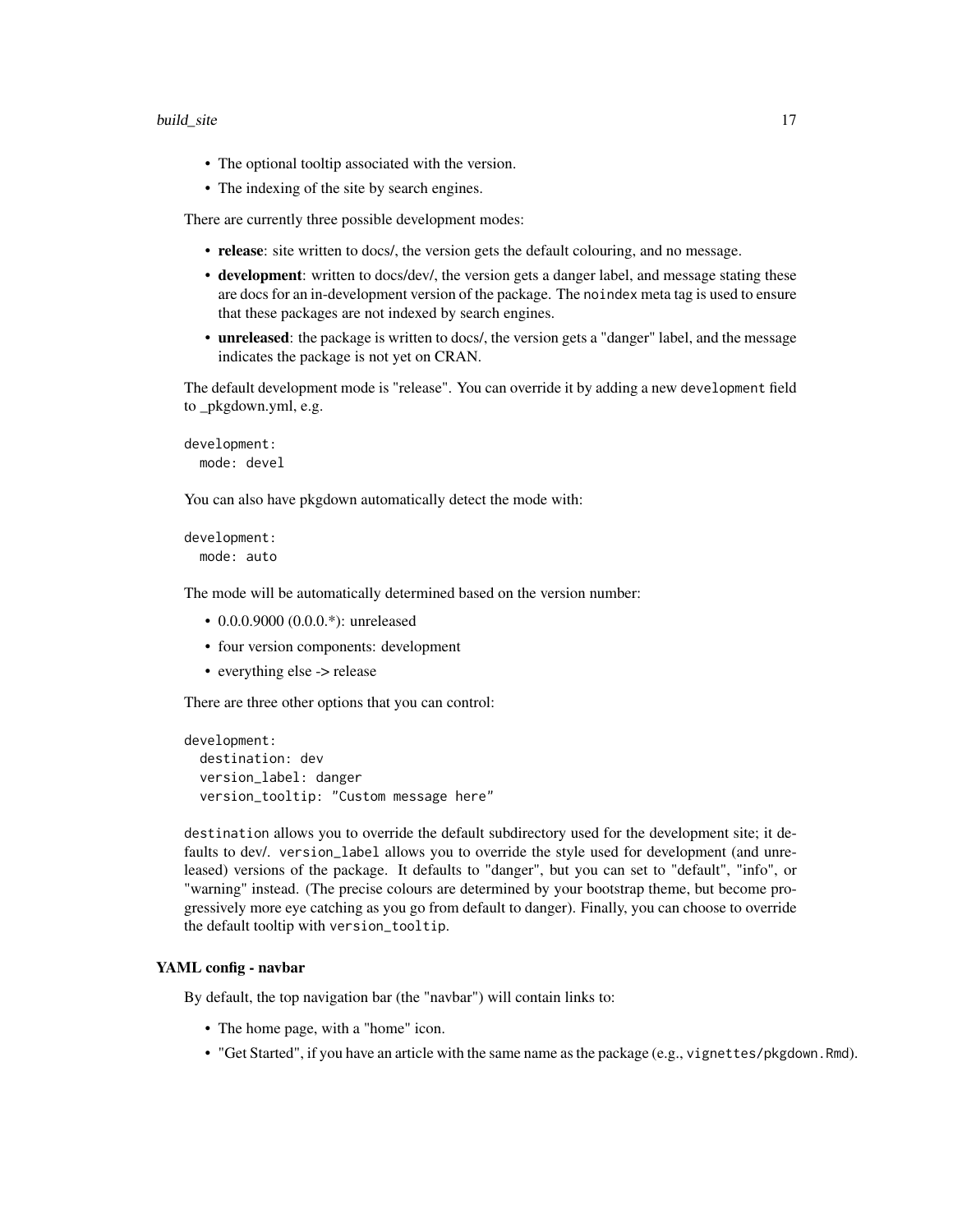#### build\_site 17

- The optional tooltip associated with the version.
- The indexing of the site by search engines.

There are currently three possible development modes:

- release: site written to docs/, the version gets the default colouring, and no message.
- development: written to docs/dev/, the version gets a danger label, and message stating these are docs for an in-development version of the package. The noindex meta tag is used to ensure that these packages are not indexed by search engines.
- unreleased: the package is written to docs/, the version gets a "danger" label, and the message indicates the package is not yet on CRAN.

The default development mode is "release". You can override it by adding a new development field to \_pkgdown.yml, e.g.

```
development:
 mode: devel
```
You can also have pkgdown automatically detect the mode with:

development: mode: auto

The mode will be automatically determined based on the version number:

- 0.0.0.9000 (0.0.0.\*): unreleased
- four version components: development
- everything else -> release

There are three other options that you can control:

```
development:
  destination: dev
 version_label: danger
  version_tooltip: "Custom message here"
```
destination allows you to override the default subdirectory used for the development site; it defaults to dev/. version\_label allows you to override the style used for development (and unreleased) versions of the package. It defaults to "danger", but you can set to "default", "info", or "warning" instead. (The precise colours are determined by your bootstrap theme, but become progressively more eye catching as you go from default to danger). Finally, you can choose to override the default tooltip with version\_tooltip.

# YAML config - navbar

By default, the top navigation bar (the "navbar") will contain links to:

- The home page, with a "home" icon.
- "Get Started", if you have an article with the same name as the package (e.g., vignettes/pkgdown.Rmd).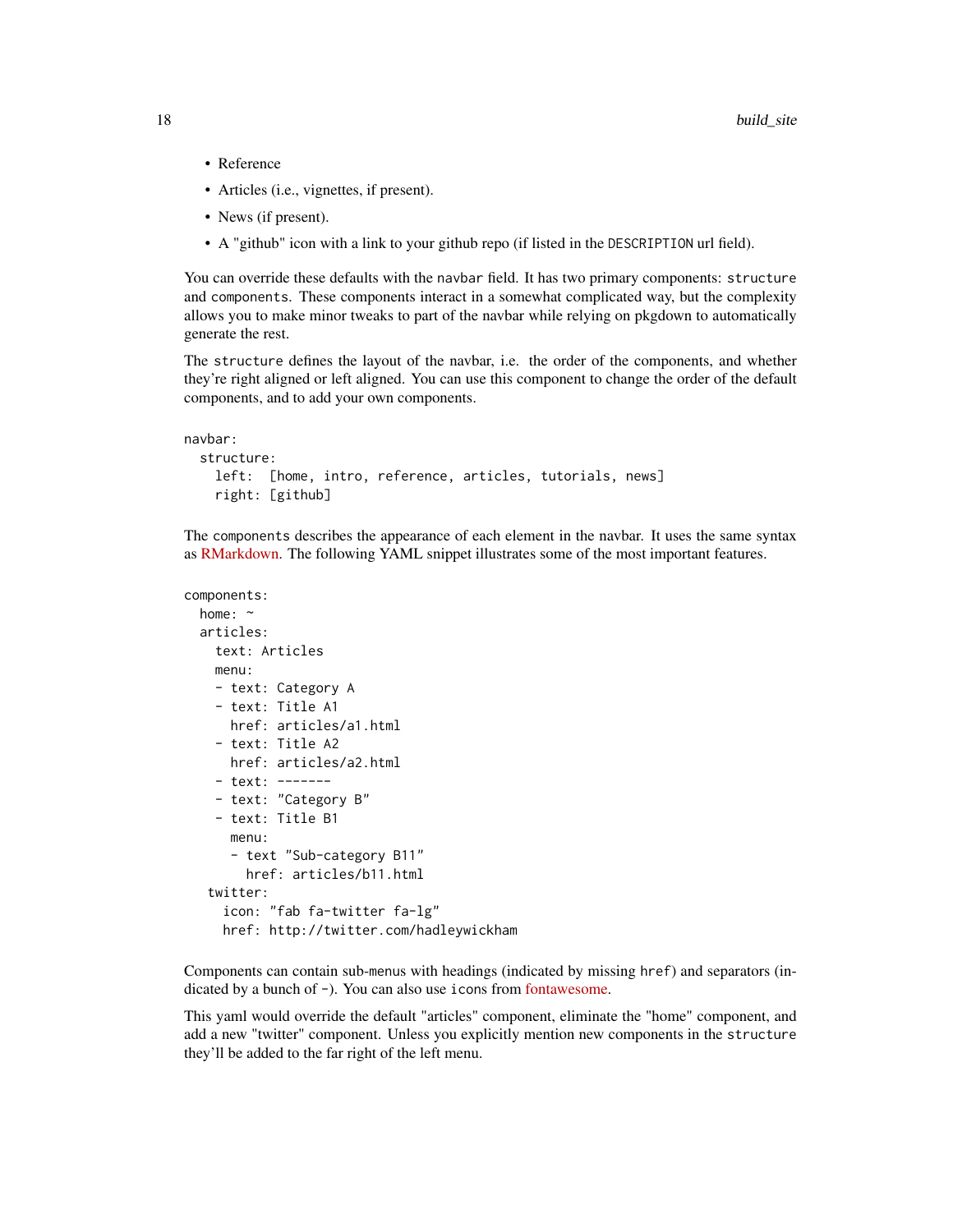- Reference
- Articles (i.e., vignettes, if present).
- News (if present).
- A "github" icon with a link to your github repo (if listed in the DESCRIPTION url field).

You can override these defaults with the navbar field. It has two primary components: structure and components. These components interact in a somewhat complicated way, but the complexity allows you to make minor tweaks to part of the navbar while relying on pkgdown to automatically generate the rest.

The structure defines the layout of the navbar, i.e. the order of the components, and whether they're right aligned or left aligned. You can use this component to change the order of the default components, and to add your own components.

```
navbar:
  structure:
   left: [home, intro, reference, articles, tutorials, news]
   right: [github]
```
The components describes the appearance of each element in the navbar. It uses the same syntax as [RMarkdown.](http://rmarkdown.rstudio.com/rmarkdown_websites.html#site_navigation) The following YAML snippet illustrates some of the most important features.

```
components:
 home: ~
  articles:
   text: Articles
   menu:
   - text: Category A
   - text: Title A1
     href: articles/a1.html
    - text: Title A2
     href: articles/a2.html
    - text: -------
    - text: "Category B"
   - text: Title B1
     menu:
     - text "Sub-category B11"
       href: articles/b11.html
  twitter:
    icon: "fab fa-twitter fa-lg"
    href: http://twitter.com/hadleywickham
```
Components can contain sub-menus with headings (indicated by missing href) and separators (indicated by a bunch of -). You can also use icons from [fontawesome.](https://fontawesome.com/icons?d=gallery)

This yaml would override the default "articles" component, eliminate the "home" component, and add a new "twitter" component. Unless you explicitly mention new components in the structure they'll be added to the far right of the left menu.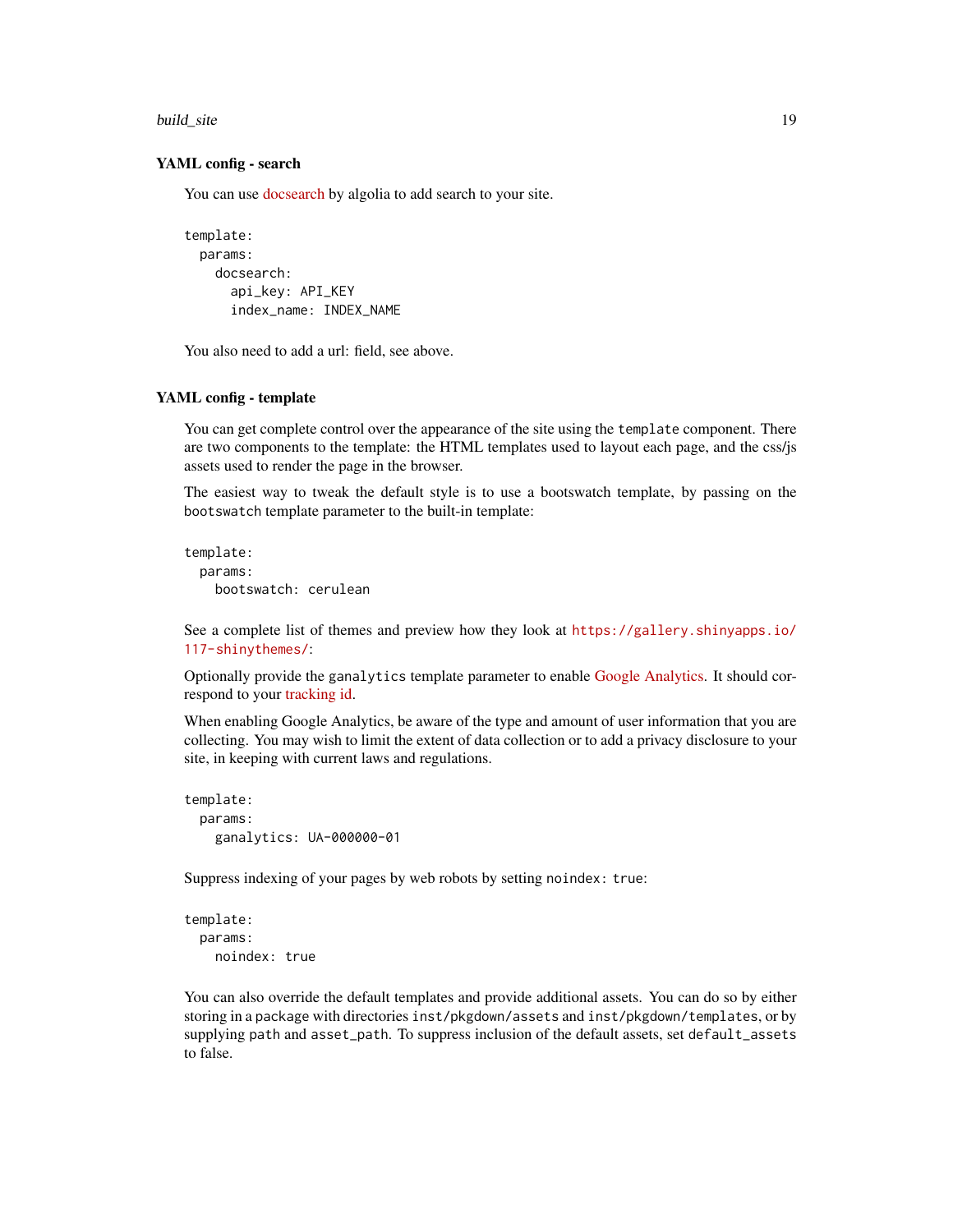build\_site 19

#### YAML config - search

You can use [docsearch](https://community.algolia.com/docsearch/) by algolia to add search to your site.

```
template:
 params:
   docsearch:
      api_key: API_KEY
      index_name: INDEX_NAME
```
You also need to add a url: field, see above.

#### YAML config - template

You can get complete control over the appearance of the site using the template component. There are two components to the template: the HTML templates used to layout each page, and the css/js assets used to render the page in the browser.

The easiest way to tweak the default style is to use a bootswatch template, by passing on the bootswatch template parameter to the built-in template:

```
template:
 params:
   bootswatch: cerulean
```
See a complete list of themes and preview how they look at [https://gallery.shinyapps.io/](https://gallery.shinyapps.io/117-shinythemes/) [117-shinythemes/](https://gallery.shinyapps.io/117-shinythemes/):

Optionally provide the ganalytics template parameter to enable [Google Analytics.](https://www.google.com/analytics/) It should correspond to your [tracking id.](https://support.google.com/analytics/answer/1032385)

When enabling Google Analytics, be aware of the type and amount of user information that you are collecting. You may wish to limit the extent of data collection or to add a privacy disclosure to your site, in keeping with current laws and regulations.

```
template:
 params:
   ganalytics: UA-000000-01
```
Suppress indexing of your pages by web robots by setting noindex: true:

```
template:
 params:
    noindex: true
```
You can also override the default templates and provide additional assets. You can do so by either storing in a package with directories inst/pkgdown/assets and inst/pkgdown/templates, or by supplying path and asset\_path. To suppress inclusion of the default assets, set default\_assets to false.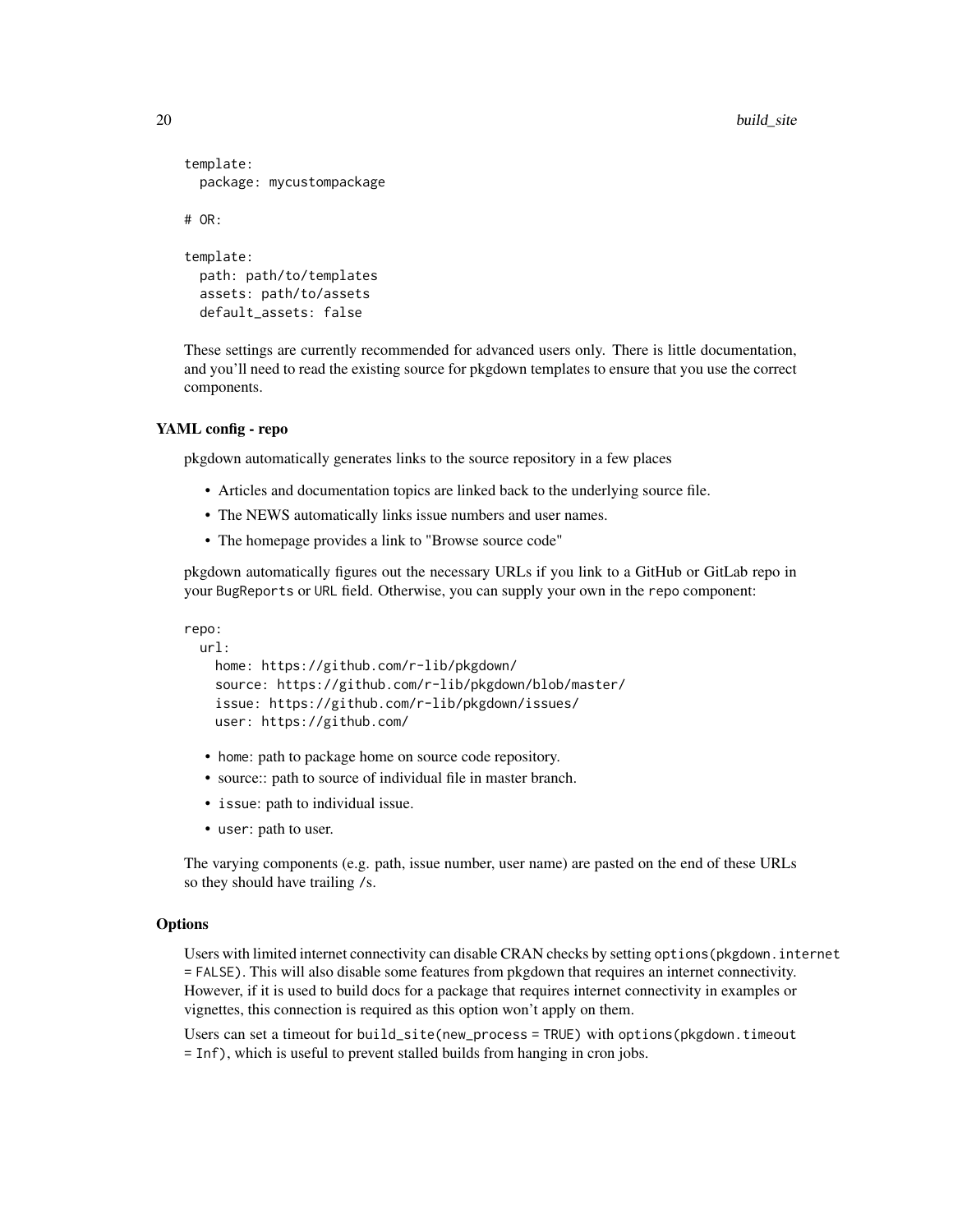```
template:
 package: mycustompackage
# OR:
template:
 path: path/to/templates
 assets: path/to/assets
 default_assets: false
```
These settings are currently recommended for advanced users only. There is little documentation, and you'll need to read the existing source for pkgdown templates to ensure that you use the correct components.

# YAML config - repo

pkgdown automatically generates links to the source repository in a few places

- Articles and documentation topics are linked back to the underlying source file.
- The NEWS automatically links issue numbers and user names.
- The homepage provides a link to "Browse source code"

pkgdown automatically figures out the necessary URLs if you link to a GitHub or GitLab repo in your BugReports or URL field. Otherwise, you can supply your own in the repo component:

repo:

```
url:
 home: https://github.com/r-lib/pkgdown/
  source: https://github.com/r-lib/pkgdown/blob/master/
  issue: https://github.com/r-lib/pkgdown/issues/
 user: https://github.com/
```
- home: path to package home on source code repository.
- source:: path to source of individual file in master branch.
- issue: path to individual issue.
- user: path to user.

The varying components (e.g. path, issue number, user name) are pasted on the end of these URLs so they should have trailing /s.

### **Options**

Users with limited internet connectivity can disable CRAN checks by setting options(pkgdown.internet = FALSE). This will also disable some features from pkgdown that requires an internet connectivity. However, if it is used to build docs for a package that requires internet connectivity in examples or vignettes, this connection is required as this option won't apply on them.

Users can set a timeout for build\_site(new\_process = TRUE) with options(pkgdown.timeout = Inf), which is useful to prevent stalled builds from hanging in cron jobs.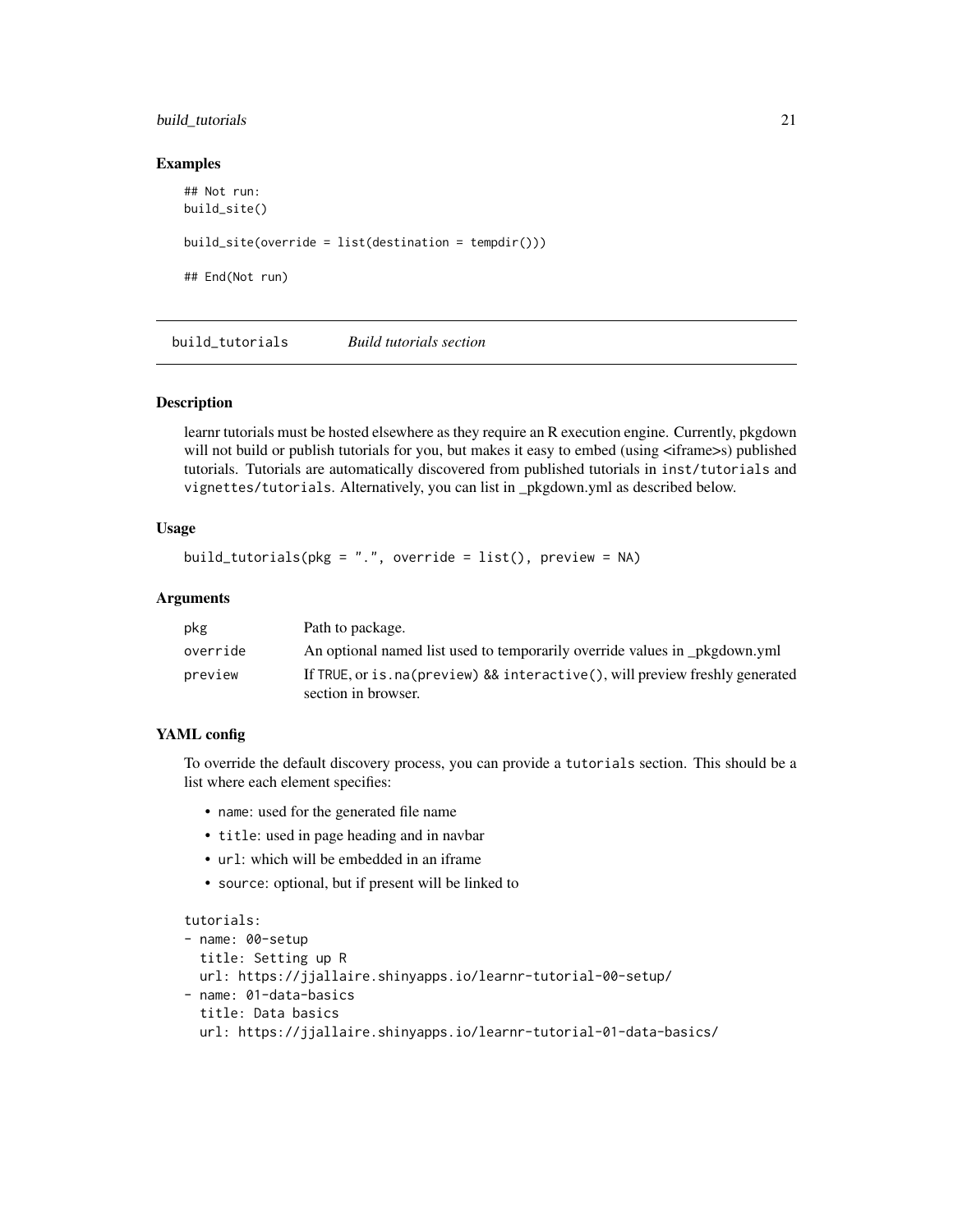# <span id="page-20-0"></span>build\_tutorials 21

#### Examples

```
## Not run:
build_site()
build_site(override = list(destination = tempdir()))
## End(Not run)
```
<span id="page-20-1"></span>build\_tutorials *Build tutorials section*

# Description

learnr tutorials must be hosted elsewhere as they require an R execution engine. Currently, pkgdown will not build or publish tutorials for you, but makes it easy to embed (using  $\leq$ iframe>s) published tutorials. Tutorials are automatically discovered from published tutorials in inst/tutorials and vignettes/tutorials. Alternatively, you can list in \_pkgdown.yml as described below.

# Usage

```
build_tutorials(pkg = ".", override = list(), preview = NA)
```
## Arguments

| pkg      | Path to package.                                                                                       |
|----------|--------------------------------------------------------------------------------------------------------|
| override | An optional named list used to temporarily override values in pkgdown.yml                              |
| preview  | If TRUE, or is . na (preview) && interactive (), will preview freshly generated<br>section in browser. |

# YAML config

To override the default discovery process, you can provide a tutorials section. This should be a list where each element specifies:

- name: used for the generated file name
- title: used in page heading and in navbar
- url: which will be embedded in an iframe
- source: optional, but if present will be linked to

```
tutorials:
```

```
- name: 00-setup
  title: Setting up R
 url: https://jjallaire.shinyapps.io/learnr-tutorial-00-setup/
- name: 01-data-basics
  title: Data basics
  url: https://jjallaire.shinyapps.io/learnr-tutorial-01-data-basics/
```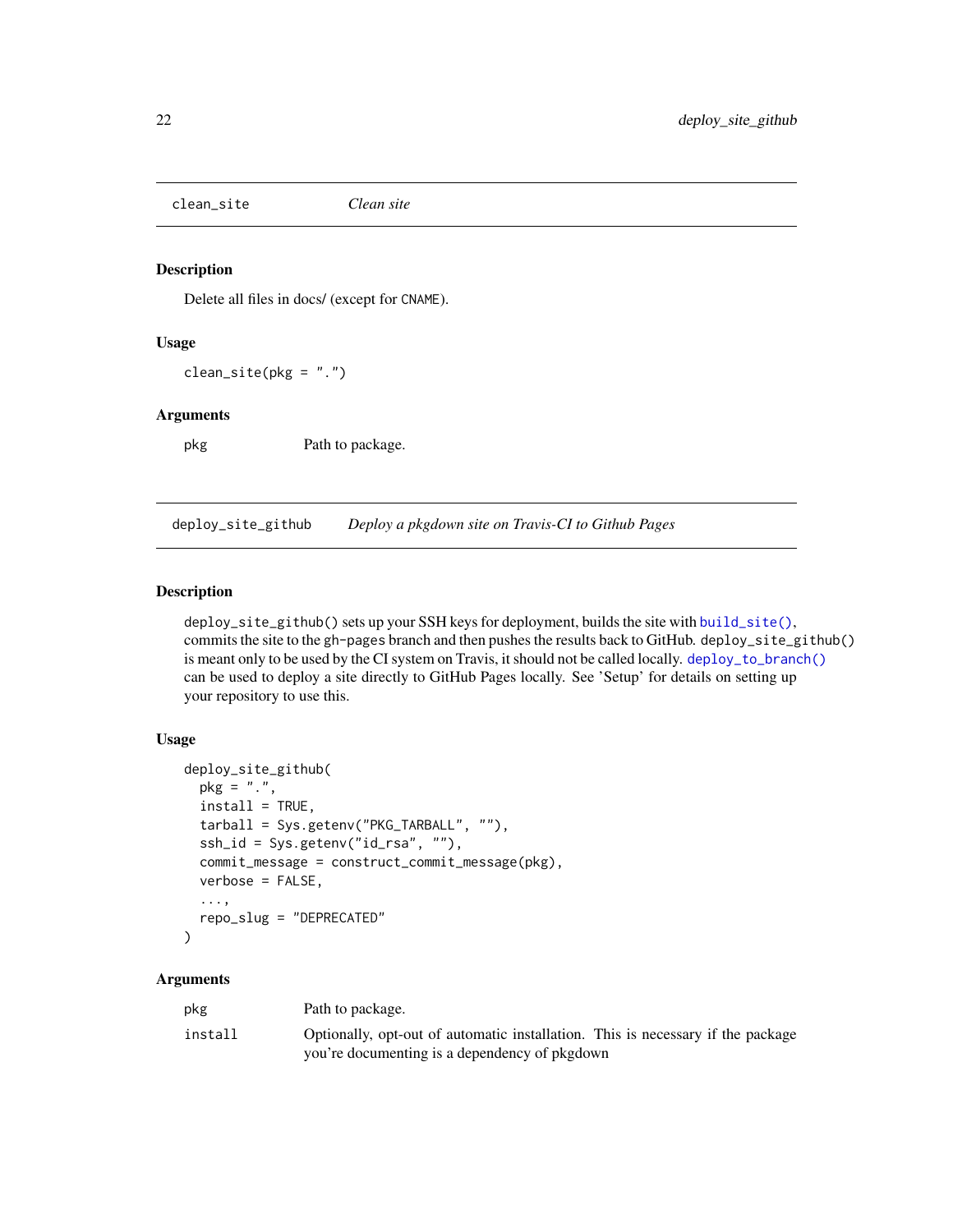<span id="page-21-1"></span><span id="page-21-0"></span>clean\_site *Clean site*

# Description

Delete all files in docs/ (except for CNAME).

# Usage

 $clean\_site(pkg = "."')$ 

#### Arguments

pkg Path to package.

<span id="page-21-2"></span>deploy\_site\_github *Deploy a pkgdown site on Travis-CI to Github Pages*

# Description

deploy\_site\_github() sets up your SSH keys for deployment, builds the site with [build\\_site\(\)](#page-13-1), commits the site to the gh-pages branch and then pushes the results back to GitHub. deploy\_site\_github() is meant only to be used by the CI system on Travis, it should not be called locally. [deploy\\_to\\_branch\(\)](#page-23-2) can be used to deploy a site directly to GitHub Pages locally. See 'Setup' for details on setting up your repository to use this.

# Usage

```
deploy_site_github(
 pkg = "."install = TRUE,
  tarball = Sys.getenv("PKG_TARBALL", ""),
  ssh_id = Sys.getenv("id_rsa", ""),
  commit_message = construct_commit_message(pkg),
  verbose = FALSE,
  ...,
  repo_slug = "DEPRECATED"
\lambda
```

| pkg     | Path to package.                                                                |
|---------|---------------------------------------------------------------------------------|
| install | Optionally, opt-out of automatic installation. This is necessary if the package |
|         | you're documenting is a dependency of pkgdown                                   |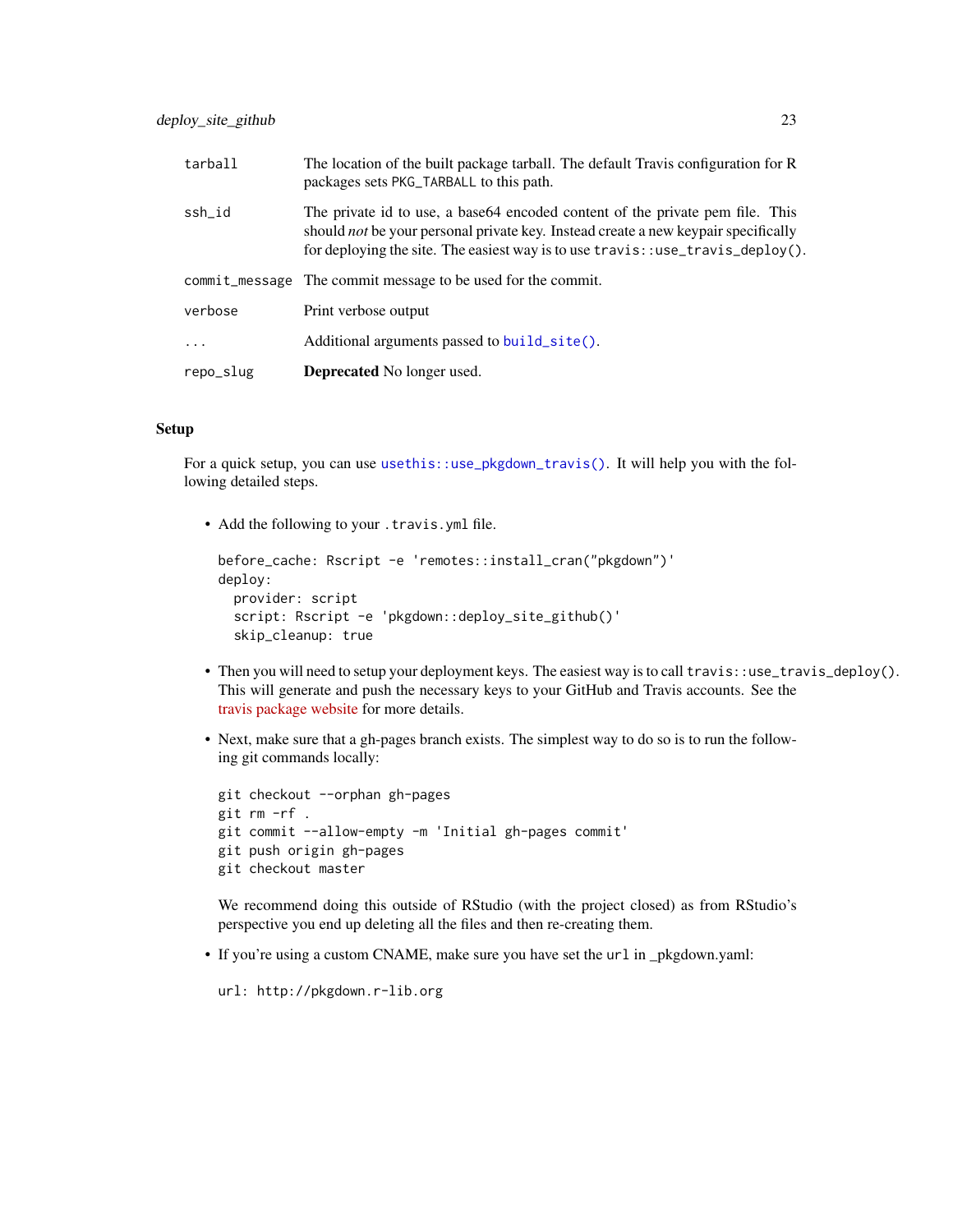<span id="page-22-0"></span>

| tarball   | The location of the built package tarball. The default Travis configuration for R<br>packages sets PKG_TARBALL to this path.                                                                                                                                            |
|-----------|-------------------------------------------------------------------------------------------------------------------------------------------------------------------------------------------------------------------------------------------------------------------------|
| ssh_id    | The private id to use, a base 64 encoded content of the private pem file. This<br>should <i>not</i> be your personal private key. Instead create a new keypair specifically<br>for deploying the site. The easiest way is to use $\text{travis}$ : use_travis_deploy(). |
|           | commit_message The commit message to be used for the commit.                                                                                                                                                                                                            |
| verbose   | Print verbose output                                                                                                                                                                                                                                                    |
| $\ddots$  | Additional arguments passed to build_site().                                                                                                                                                                                                                            |
| repo_slug | <b>Deprecated</b> No longer used.                                                                                                                                                                                                                                       |

# Setup

For a quick setup, you can use [usethis::use\\_pkgdown\\_travis\(\)](#page-0-0). It will help you with the following detailed steps.

• Add the following to your .travis.yml file.

```
before_cache: Rscript -e 'remotes::install_cran("pkgdown")'
deploy:
 provider: script
 script: Rscript -e 'pkgdown::deploy_site_github()'
  skip_cleanup: true
```
- Then you will need to setup your deployment keys. The easiest way is to call travis::use\_travis\_deploy(). This will generate and push the necessary keys to your GitHub and Travis accounts. See the [travis package website](https://docs.ropensci.org/travis/index.html) for more details.
- Next, make sure that a gh-pages branch exists. The simplest way to do so is to run the following git commands locally:

```
git checkout --orphan gh-pages
git rm -rf .
git commit --allow-empty -m 'Initial gh-pages commit'
git push origin gh-pages
git checkout master
```
We recommend doing this outside of RStudio (with the project closed) as from RStudio's perspective you end up deleting all the files and then re-creating them.

• If you're using a custom CNAME, make sure you have set the url in \_pkgdown.yaml:

```
url: http://pkgdown.r-lib.org
```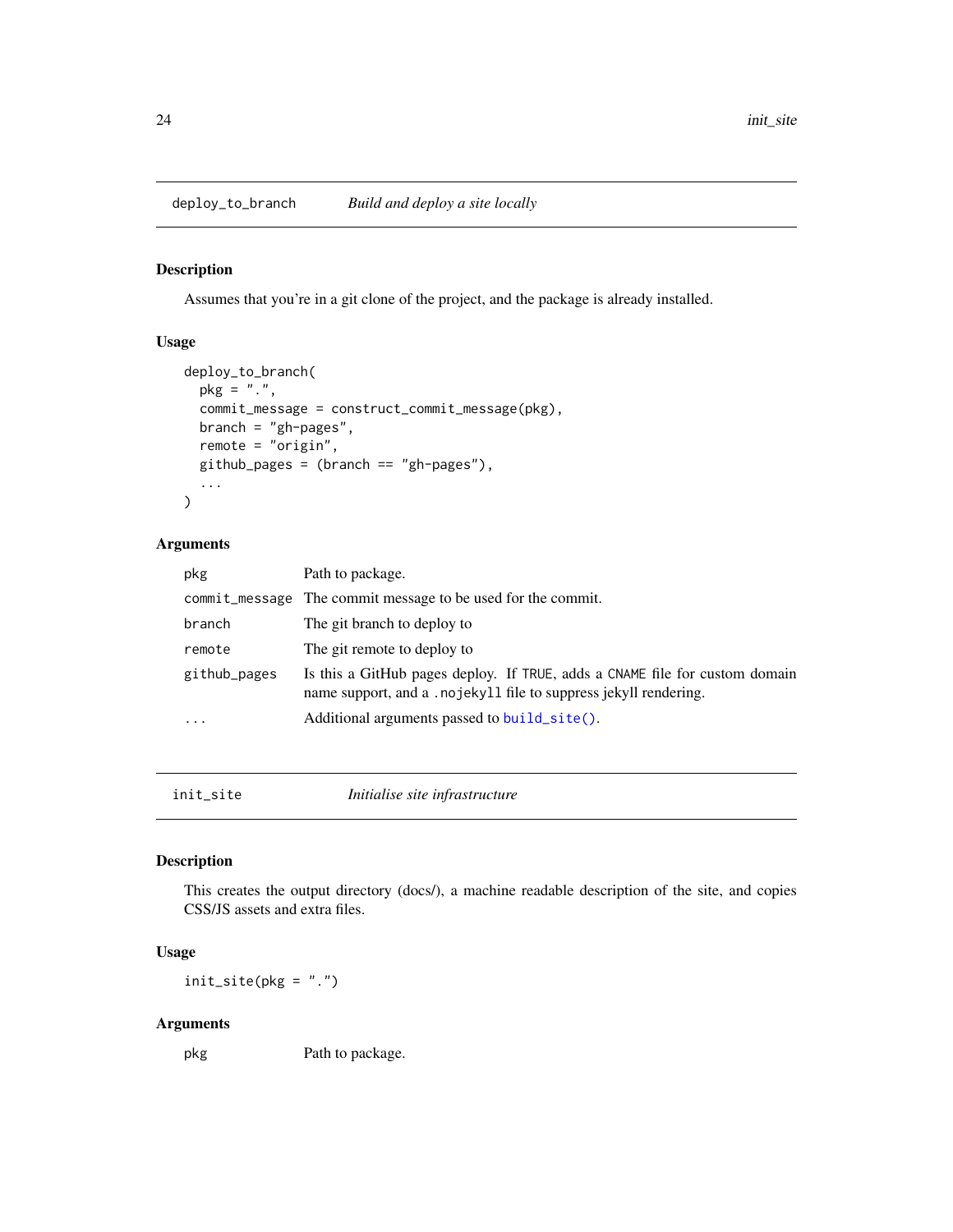<span id="page-23-2"></span><span id="page-23-0"></span>deploy\_to\_branch *Build and deploy a site locally*

# Description

Assumes that you're in a git clone of the project, and the package is already installed.

# Usage

```
deploy_to_branch(
 pkg = "."commit_message = construct_commit_message(pkg),
 branch = "gh-pages",
 remote = "origin",
 github_pages = (branch == "gh-pages"),...
)
```
# Arguments

| pkg          | Path to package.                                                                                                                                |
|--------------|-------------------------------------------------------------------------------------------------------------------------------------------------|
|              | commit_message The commit message to be used for the commit.                                                                                    |
| branch       | The git branch to deploy to                                                                                                                     |
| remote       | The git remote to deploy to                                                                                                                     |
| github_pages | Is this a GitHub pages deploy. If TRUE, adds a CNAME file for custom domain<br>name support, and a .nojekyll file to suppress jekyll rendering. |
| $\ddotsc$    | Additional arguments passed to build_site().                                                                                                    |

<span id="page-23-1"></span>init\_site *Initialise site infrastructure*

# Description

This creates the output directory (docs/), a machine readable description of the site, and copies CSS/JS assets and extra files.

# Usage

 $init\_site(pkg = "."')$ 

# Arguments

pkg Path to package.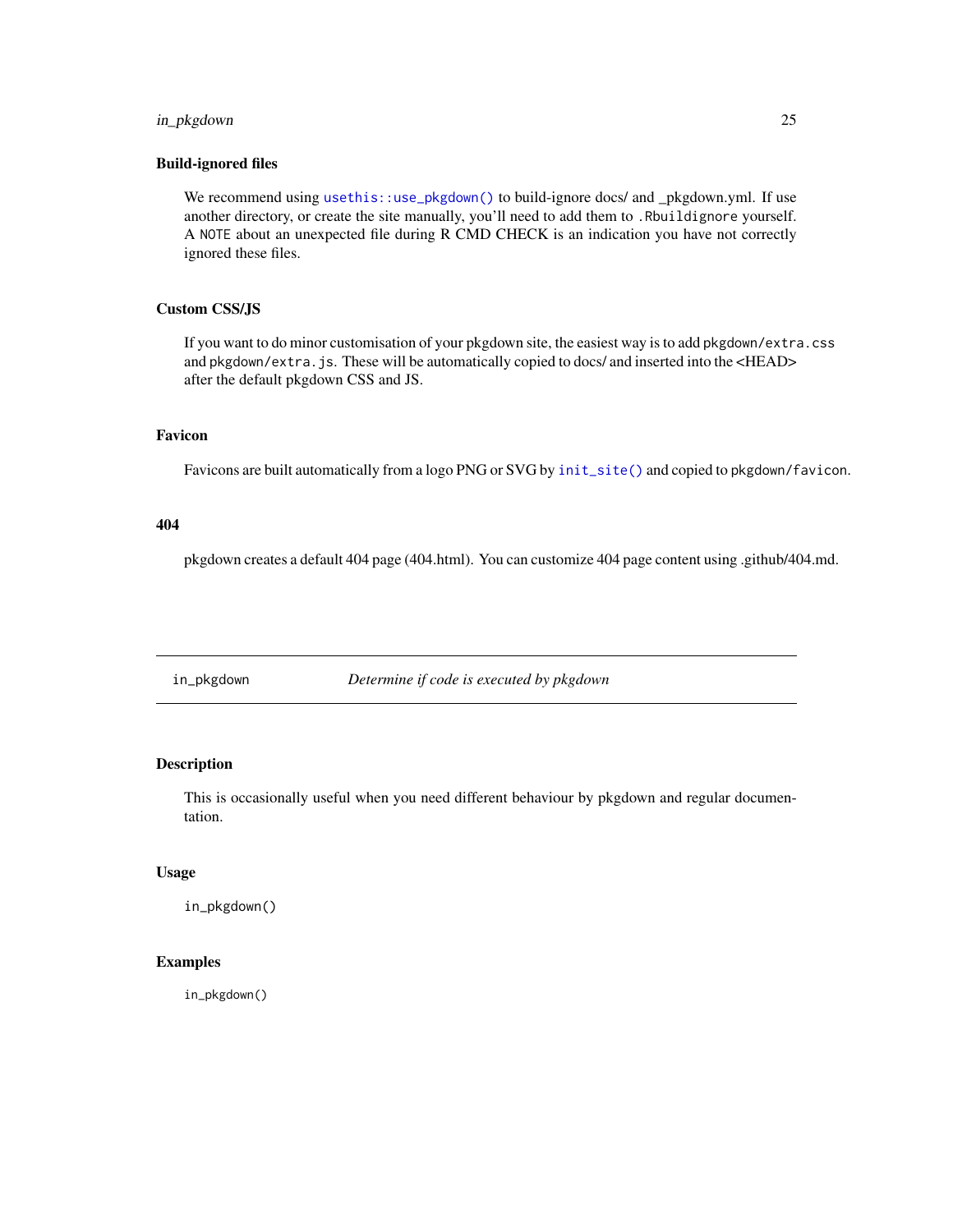# <span id="page-24-0"></span>in\_pkgdown 25

#### Build-ignored files

We recommend using [usethis::use\\_pkgdown\(\)](#page-0-0) to build-ignore docs/ and \_pkgdown.yml. If use another directory, or create the site manually, you'll need to add them to .Rbuildignore yourself. A NOTE about an unexpected file during R CMD CHECK is an indication you have not correctly ignored these files.

# Custom CSS/JS

If you want to do minor customisation of your pkgdown site, the easiest way is to add pkgdown/extra.css and pkgdown/extra.js. These will be automatically copied to docs/ and inserted into the <HEAD> after the default pkgdown CSS and JS.

# Favicon

Favicons are built automatically from a logo PNG or SVG by [init\\_site\(\)](#page-23-1) and copied to pkgdown/favicon.

#### 404

pkgdown creates a default 404 page (404.html). You can customize 404 page content using .github/404.md.

in\_pkgdown *Determine if code is executed by pkgdown*

# Description

This is occasionally useful when you need different behaviour by pkgdown and regular documentation.

#### Usage

in\_pkgdown()

# Examples

in\_pkgdown()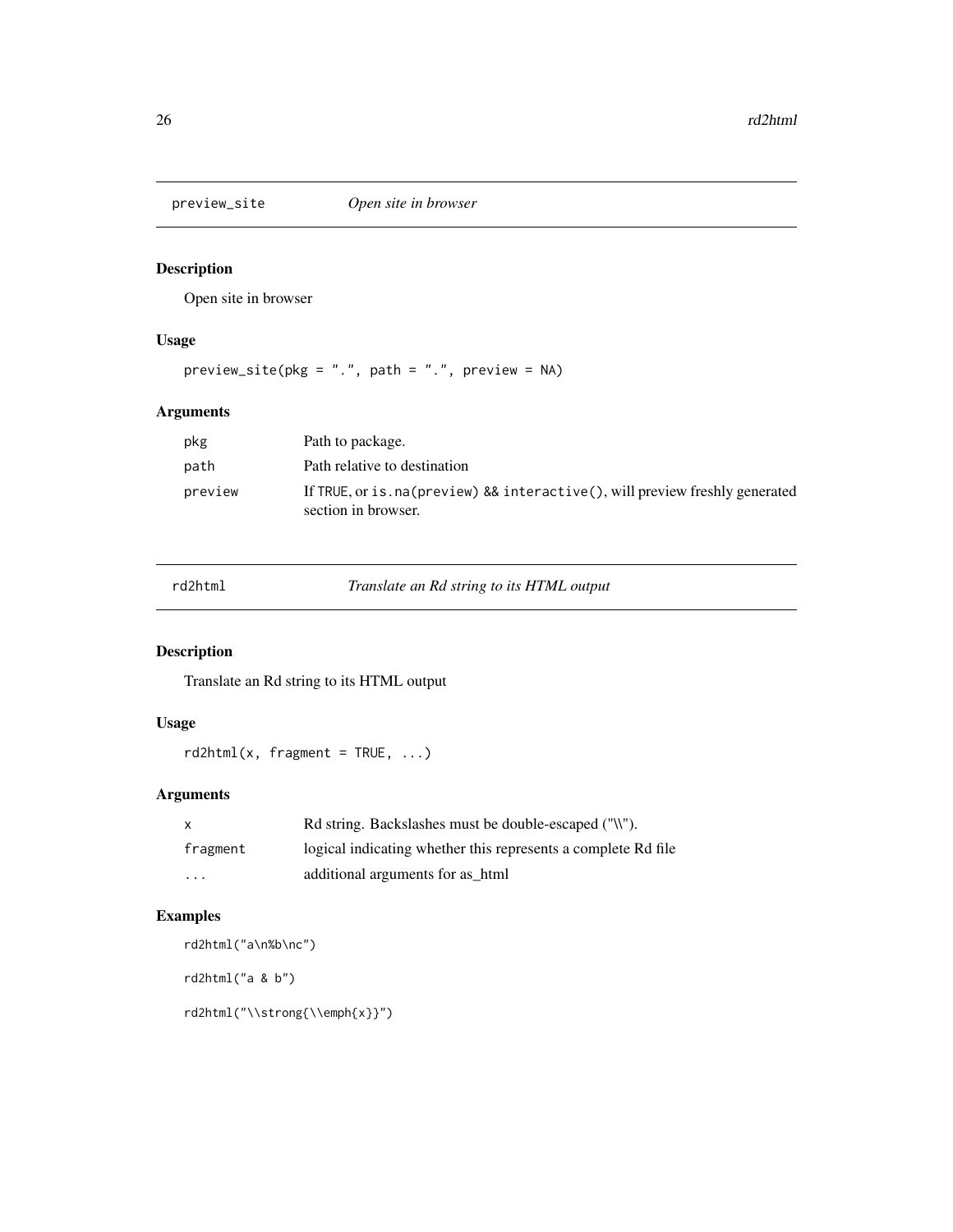<span id="page-25-0"></span>

Open site in browser

# Usage

 $preview\_site(pkg = "."$ ,  $path = "."$ ,  $preview = NA)$ 

# Arguments

| pkg     | Path to package.                                                                                    |
|---------|-----------------------------------------------------------------------------------------------------|
| path    | Path relative to destination                                                                        |
| preview | If TRUE, or is .na(preview) && interactive(), will preview freshly generated<br>section in browser. |

rd2html *Translate an Rd string to its HTML output*

# Description

Translate an Rd string to its HTML output

# Usage

 $rd2html(x, fragment = TRUE, ...)$ 

# Arguments

| X        | Rd string. Backslashes must be double-escaped ("\\").         |
|----------|---------------------------------------------------------------|
| fragment | logical indicating whether this represents a complete Rd file |
| .        | additional arguments for as_html                              |

# Examples

rd2html("a\n%b\nc") rd2html("a & b") rd2html("\\strong{\\emph{x}}")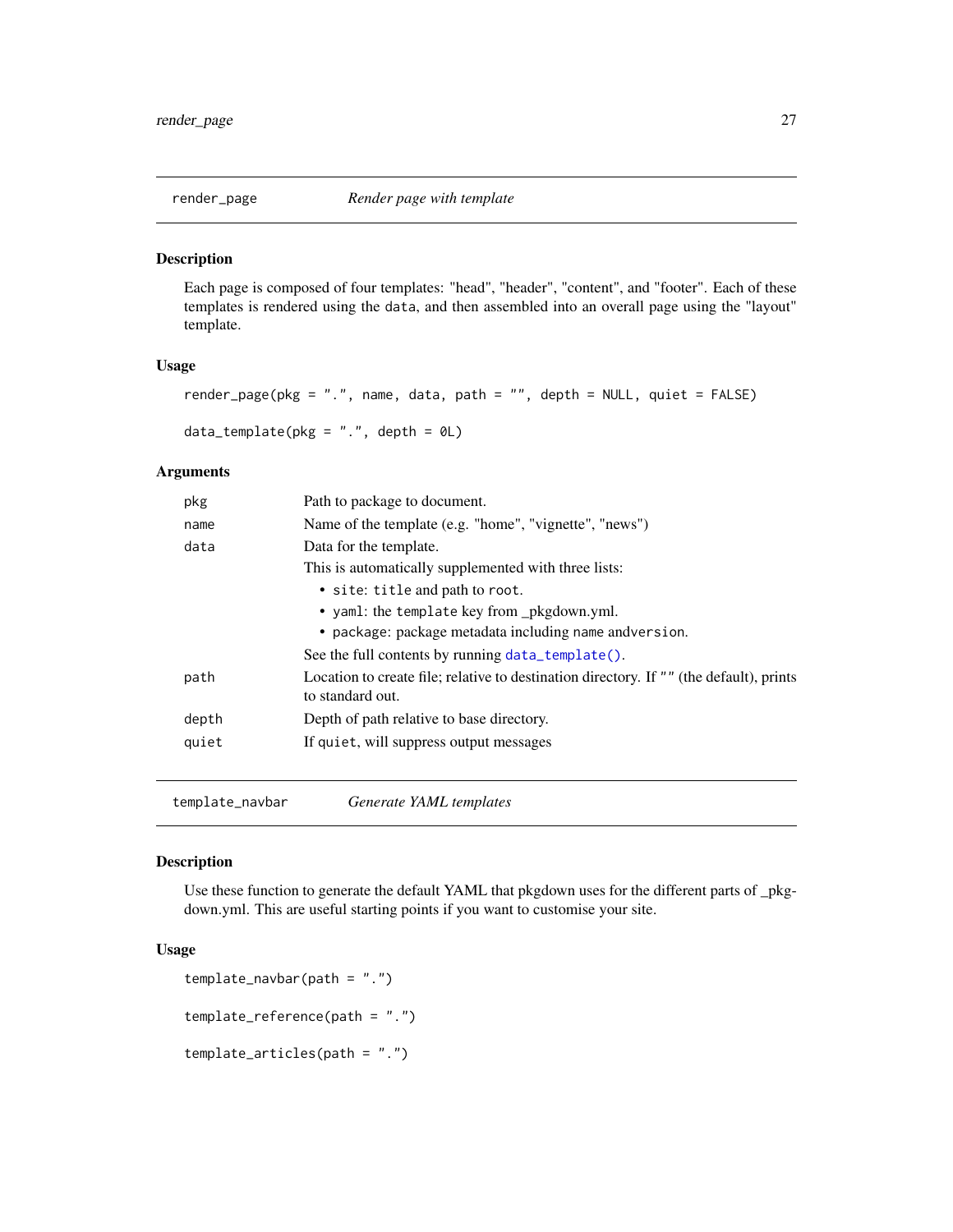<span id="page-26-1"></span><span id="page-26-0"></span>

Each page is composed of four templates: "head", "header", "content", and "footer". Each of these templates is rendered using the data, and then assembled into an overall page using the "layout" template.

# Usage

```
render_page(pkg = ".", name, data, path = "", depth = NULL, quiet = FALSE)
data_template(pkg = ".", depth = \thetaL)
```
# Arguments

| pkg   | Path to package to document.                                                                                |
|-------|-------------------------------------------------------------------------------------------------------------|
| name  | Name of the template (e.g. "home", "vignette", "news")                                                      |
| data  | Data for the template.                                                                                      |
|       | This is automatically supplemented with three lists:                                                        |
|       | • site: title and path to root.                                                                             |
|       | • yaml: the template key from _pkgdown.yml.                                                                 |
|       | • package: package metadata including name andversion.                                                      |
|       | See the full contents by running data_template().                                                           |
| path  | Location to create file; relative to destination directory. If "" (the default), prints<br>to standard out. |
| depth | Depth of path relative to base directory.                                                                   |
| quiet | If quiet, will suppress output messages                                                                     |
|       |                                                                                                             |

template\_navbar *Generate YAML templates*

#### Description

Use these function to generate the default YAML that pkgdown uses for the different parts of \_pkgdown.yml. This are useful starting points if you want to customise your site.

# Usage

```
template_navbar(path = ".")
template_reference(path = ".")
```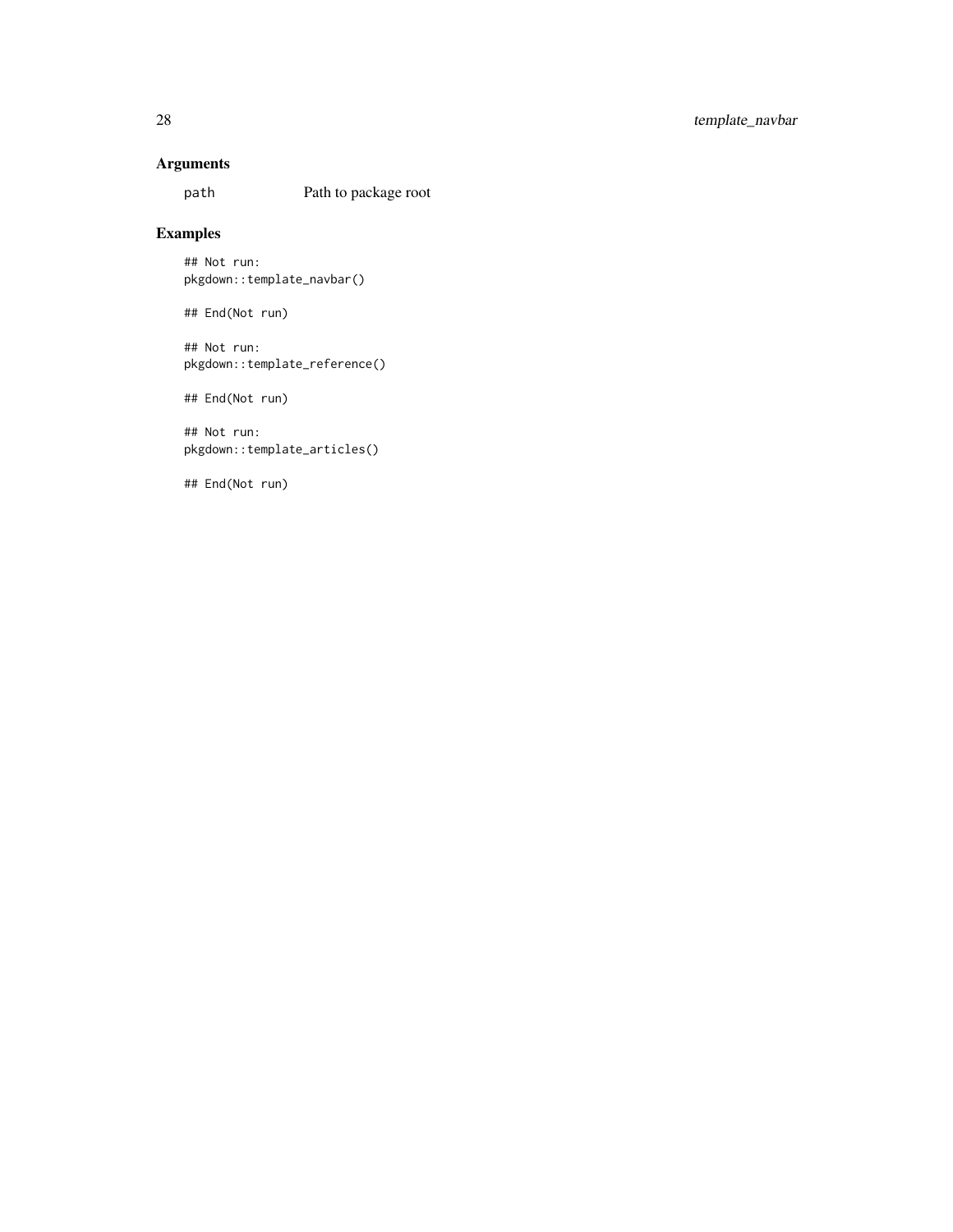# Arguments

path Path to package root

# Examples

## Not run: pkgdown::template\_navbar()

## End(Not run)

## Not run: pkgdown::template\_reference()

## End(Not run)

## Not run: pkgdown::template\_articles()

## End(Not run)